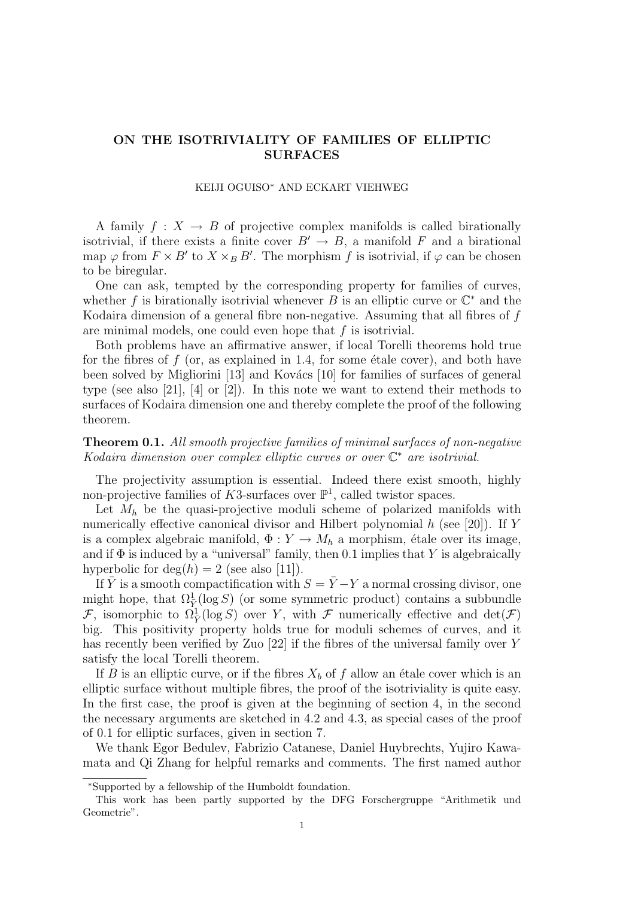# ON THE ISOTRIVIALITY OF FAMILIES OF ELLIPTIC SURFACES

#### KEIJI OGUISO<sup>∗</sup> AND ECKART VIEHWEG

A family  $f: X \to B$  of projective complex manifolds is called birationally isotrivial, if there exists a finite cover  $B' \to B$ , a manifold F and a birational map  $\varphi$  from  $F \times B'$  to  $X \times_B B'$ . The morphism f is isotrivial, if  $\varphi$  can be chosen to be biregular.

One can ask, tempted by the corresponding property for families of curves, whether f is birationally isotrivial whenever B is an elliptic curve or  $\mathbb{C}^*$  and the Kodaira dimension of a general fibre non-negative. Assuming that all fibres of f are minimal models, one could even hope that  $f$  is isotrivial.

Both problems have an affirmative answer, if local Torelli theorems hold true for the fibres of  $f$  (or, as explained in 1.4, for some étale cover), and both have been solved by Migliorini  $[13]$  and Kovács  $[10]$  for families of surfaces of general type (see also [21], [4] or [2]). In this note we want to extend their methods to surfaces of Kodaira dimension one and thereby complete the proof of the following theorem.

# Theorem 0.1. All smooth projective families of minimal surfaces of non-negative Kodaira dimension over complex elliptic curves or over  $\mathbb{C}^*$  are isotrivial.

The projectivity assumption is essential. Indeed there exist smooth, highly non-projective families of K3-surfaces over  $\mathbb{P}^1$ , called twistor spaces.

Let  $M_h$  be the quasi-projective moduli scheme of polarized manifolds with numerically effective canonical divisor and Hilbert polynomial h (see [20]). If Y is a complex algebraic manifold,  $\Phi: Y \to M_h$  a morphism, étale over its image, and if  $\Phi$  is induced by a "universal" family, then 0.1 implies that Y is algebraically hyperbolic for  $deg(h) = 2$  (see also [11]).

If  $\overline{Y}$  is a smooth compactification with  $S = \overline{Y} - Y$  a normal crossing divisor, one might hope, that  $\Omega^1_{\overline{Y}}(\log S)$  (or some symmetric product) contains a subbundle F, isomorphic to  $\Omega^1_{\overline{Y}}(\log S)$  over Y, with F numerically effective and  $\det(\mathcal{F})$ big. This positivity property holds true for moduli schemes of curves, and it has recently been verified by Zuo [22] if the fibres of the universal family over Y satisfy the local Torelli theorem.

If B is an elliptic curve, or if the fibres  $X_b$  of f allow an étale cover which is an elliptic surface without multiple fibres, the proof of the isotriviality is quite easy. In the first case, the proof is given at the beginning of section 4, in the second the necessary arguments are sketched in 4.2 and 4.3, as special cases of the proof of 0.1 for elliptic surfaces, given in section 7.

We thank Egor Bedulev, Fabrizio Catanese, Daniel Huybrechts, Yujiro Kawamata and Qi Zhang for helpful remarks and comments. The first named author

<sup>∗</sup>Supported by a fellowship of the Humboldt foundation.

This work has been partly supported by the DFG Forschergruppe "Arithmetik und Geometrie".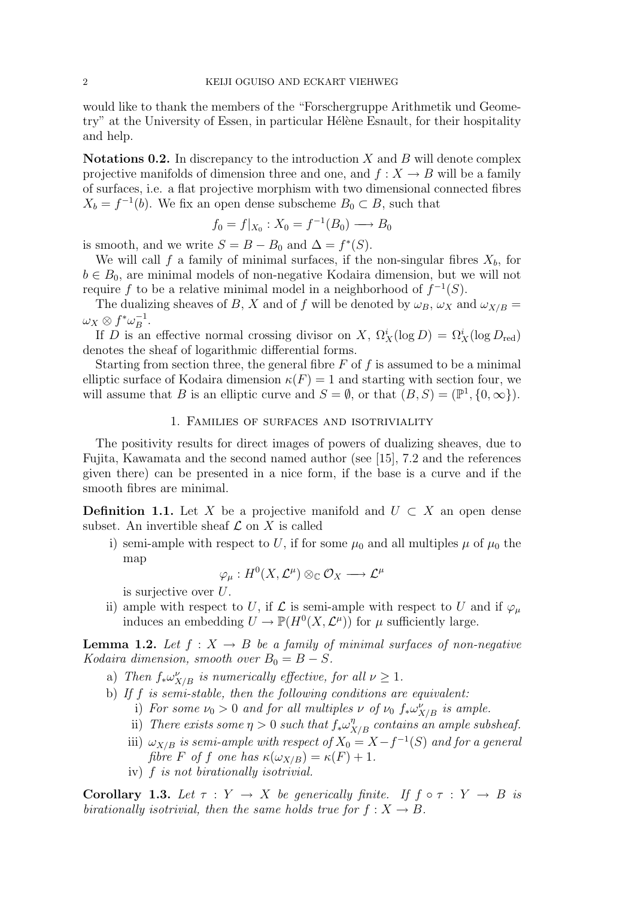would like to thank the members of the "Forschergruppe Arithmetik und Geometry" at the University of Essen, in particular Hélène Esnault, for their hospitality and help.

**Notations 0.2.** In discrepancy to the introduction  $X$  and  $B$  will denote complex projective manifolds of dimension three and one, and  $f: X \to B$  will be a family of surfaces, i.e. a flat projective morphism with two dimensional connected fibres  $X_b = f^{-1}(b)$ . We fix an open dense subscheme  $B_0 \subset B$ , such that

$$
f_0 = f|_{X_0} : X_0 = f^{-1}(B_0) \longrightarrow B_0
$$

is smooth, and we write  $S = B - B_0$  and  $\Delta = f^*(S)$ .

We will call f a family of minimal surfaces, if the non-singular fibres  $X_b$ , for  $b \in B_0$ , are minimal models of non-negative Kodaira dimension, but we will not require f to be a relative minimal model in a neighborhood of  $f^{-1}(S)$ .

The dualizing sheaves of B, X and of f will be denoted by  $\omega_B$ ,  $\omega_X$  and  $\omega_{X/B}$  =  $\omega_X\otimes f^*\omega_B^{-1}$  $B^{-1}$ .

If D is an effective normal crossing divisor on X,  $\Omega_X^i(\log D) = \Omega_X^i(\log D_{\text{red}})$ denotes the sheaf of logarithmic differential forms.

Starting from section three, the general fibre  $F$  of  $f$  is assumed to be a minimal elliptic surface of Kodaira dimension  $\kappa(F) = 1$  and starting with section four, we will assume that B is an elliptic curve and  $S = \emptyset$ , or that  $(B, S) = (\mathbb{P}^1, \{0, \infty\}).$ 

### 1. Families of surfaces and isotriviality

The positivity results for direct images of powers of dualizing sheaves, due to Fujita, Kawamata and the second named author (see [15], 7.2 and the references given there) can be presented in a nice form, if the base is a curve and if the smooth fibres are minimal.

**Definition 1.1.** Let X be a projective manifold and  $U \subset X$  an open dense subset. An invertible sheaf  $\mathcal L$  on X is called

i) semi-ample with respect to U, if for some  $\mu_0$  and all multiples  $\mu$  of  $\mu_0$  the map

$$
\varphi_\mu:H^0(X,{\mathcal L}^\mu)\otimes_\mathbb{C} {\mathcal O}_X\longrightarrow{\mathcal L}^\mu
$$

is surjective over U.

ii) ample with respect to U, if L is semi-ample with respect to U and if  $\varphi_{\mu}$ induces an embedding  $U \to \mathbb{P}(H^0(X, \mathcal{L}^{\mu}))$  for  $\mu$  sufficiently large.

**Lemma 1.2.** Let  $f : X \to B$  be a family of minimal surfaces of non-negative Kodaira dimension, smooth over  $B_0 = B - S$ .

- a) Then  $f_* \omega_{X/B}^{\nu}$  is numerically effective, for all  $\nu \geq 1$ .
- b) If f is semi-stable, then the following conditions are equivalent:
	- i) For some  $\nu_0 > 0$  and for all multiples  $\nu$  of  $\nu_0$   $f_*\omega_{X/B}^{\nu}$  is ample.
	- ii) There exists some  $\eta > 0$  such that  $f_* \omega_{X/B}^{\eta}$  contains an ample subsheaf.
	- iii)  $\omega_{X/B}$  is semi-ample with respect of  $X_0 = X f^{-1}(S)$  and for a general fibre F of f one has  $\kappa(\omega_{X/B}) = \kappa(F) + 1$ .
	- iv) f is not birationally isotrivial.

Corollary 1.3. Let  $\tau : Y \to X$  be generically finite. If  $f \circ \tau : Y \to B$  is birationally isotrivial, then the same holds true for  $f: X \to B$ .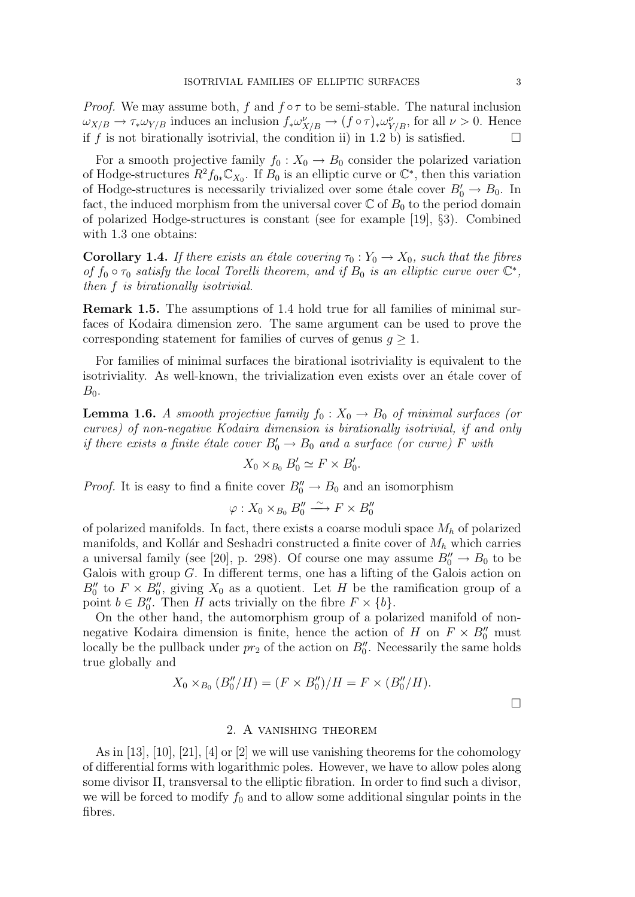*Proof.* We may assume both, f and  $f \circ \tau$  to be semi-stable. The natural inclusion  $\omega_{X/B} \to \tau_* \omega_{Y/B}$  induces an inclusion  $f_* \omega_{X/B}^{\nu} \to (f \circ \tau)_* \omega_{Y/B}^{\nu}$ , for all  $\nu > 0$ . Hence if f is not birationally isotrivial, the condition ii) in 1.2 b) is satisfied.  $\square$ 

For a smooth projective family  $f_0 : X_0 \to B_0$  consider the polarized variation of Hodge-structures  $R^2 f_{0*} \mathbb{C}_{X_0}$ . If  $B_0$  is an elliptic curve or  $\mathbb{C}^*$ , then this variation of Hodge-structures is necessarily trivialized over some étale cover  $B'_0 \to B_0$ . In fact, the induced morphism from the universal cover  $\mathbb C$  of  $B_0$  to the period domain of polarized Hodge-structures is constant (see for example [19], §3). Combined with 1.3 one obtains:

**Corollary 1.4.** If there exists an étale covering  $\tau_0 : Y_0 \to X_0$ , such that the fibres of  $f_0 \circ \tau_0$  satisfy the local Torelli theorem, and if  $B_0$  is an elliptic curve over  $\mathbb{C}^*$ , then f is birationally isotrivial.

Remark 1.5. The assumptions of 1.4 hold true for all families of minimal surfaces of Kodaira dimension zero. The same argument can be used to prove the corresponding statement for families of curves of genus  $g \geq 1$ .

For families of minimal surfaces the birational isotriviality is equivalent to the isotriviality. As well-known, the trivialization even exists over an étale cover of  $B_0$ .

**Lemma 1.6.** A smooth projective family  $f_0 : X_0 \to B_0$  of minimal surfaces (or curves) of non-negative Kodaira dimension is birationally isotrivial, if and only if there exists a finite étale cover  $B'_0 \to B_0$  and a surface (or curve) F with

$$
X_0 \times_{B_0} B'_0 \simeq F \times B'_0.
$$

*Proof.* It is easy to find a finite cover  $B''_0 \to B_0$  and an isomorphism

$$
\varphi: X_0 \times_{B_0} B''_0 \xrightarrow{\sim} F \times B''_0
$$

of polarized manifolds. In fact, there exists a coarse moduli space  $M_h$  of polarized manifolds, and Kollár and Seshadri constructed a finite cover of  $M_h$  which carries a universal family (see [20], p. 298). Of course one may assume  $B''_0 \to B_0$  to be Galois with group  $G$ . In different terms, one has a lifting of the Galois action on  $B_0''$  to  $F \times B_0''$ , giving  $X_0$  as a quotient. Let H be the ramification group of a point  $b \in B''_0$ . Then H acts trivially on the fibre  $F \times \{b\}$ .

On the other hand, the automorphism group of a polarized manifold of nonnegative Kodaira dimension is finite, hence the action of H on  $F \times B_0''$  must locally be the pullback under  $pr_2$  of the action on  $B''_0$ . Necessarily the same holds true globally and

$$
X_0 \times_{B_0} (B''_0/H) = (F \times B''_0)/H = F \times (B''_0/H).
$$

## 2. A vanishing theorem

As in [13], [10], [21], [4] or [2] we will use vanishing theorems for the cohomology of differential forms with logarithmic poles. However, we have to allow poles along some divisor Π, transversal to the elliptic fibration. In order to find such a divisor, we will be forced to modify  $f_0$  and to allow some additional singular points in the fibres.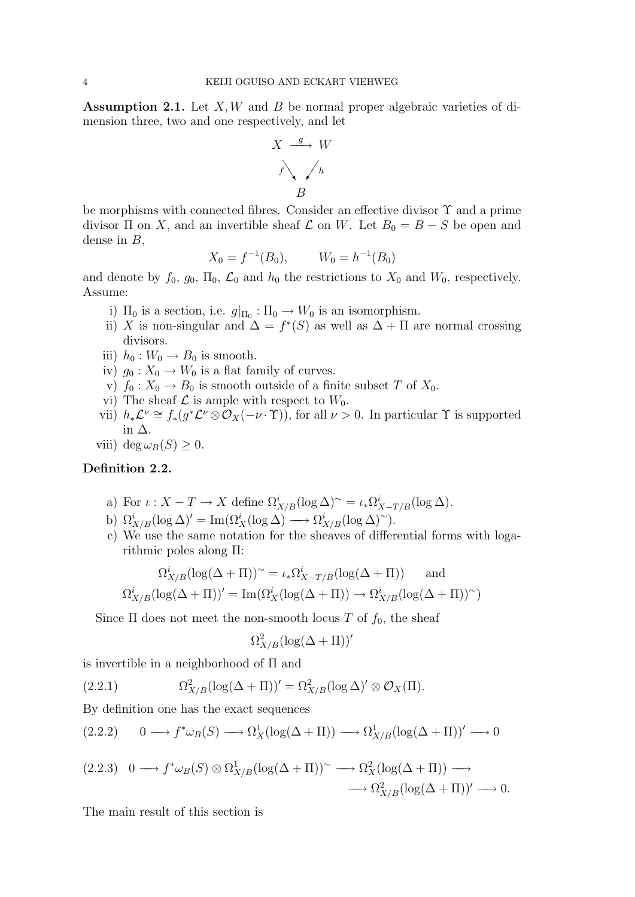**Assumption 2.1.** Let  $X, W$  and  $B$  be normal proper algebraic varieties of dimension three, two and one respectively, and let

$$
X \xrightarrow{g} W
$$
  
 $f \searrow \searrow h$   
 $B$ 

be morphisms with connected fibres. Consider an effective divisor Υ and a prime divisor  $\Pi$  on X, and an invertible sheaf  $\mathcal L$  on W. Let  $B_0 = B - S$  be open and dense in  $B$ ,

$$
X_0 = f^{-1}(B_0), \qquad W_0 = h^{-1}(B_0)
$$

and denote by  $f_0$ ,  $g_0$ ,  $\Pi_0$ ,  $\mathcal{L}_0$  and  $h_0$  the restrictions to  $X_0$  and  $W_0$ , respectively. Assume:

- i)  $\Pi_0$  is a section, i.e.  $g|_{\Pi_0} : \Pi_0 \to W_0$  is an isomorphism.
- ii) X is non-singular and  $\Delta = f^*(S)$  as well as  $\Delta + \Pi$  are normal crossing divisors.
- iii)  $h_0 : W_0 \to B_0$  is smooth.
- iv)  $g_0: X_0 \to W_0$  is a flat family of curves.
- v)  $f_0: X_0 \to B_0$  is smooth outside of a finite subset T of  $X_0$ .
- vi) The sheaf  $\mathcal L$  is ample with respect to  $W_0$ .
- vii)  $h_*\mathcal{L}^{\nu} \cong f_*(g^*\mathcal{L}^{\nu} \otimes \mathcal{O}_X(-\nu \cdot \Upsilon)),$  for all  $\nu > 0$ . In particular  $\Upsilon$  is supported in ∆.
- viii) deg  $\omega_B(S) \geq 0$ .

### Definition 2.2.

- a) For  $\iota: X T \to X$  define  $\Omega^i_{X/B}(\log \Delta)$ <sup>~</sup> =  $\iota_*\Omega^i_{X-T/B}(\log \Delta)$ .
- b)  $\Omega^i_{X/B}(\log \Delta)' = \text{Im}(\Omega^i_X(\log \Delta) \longrightarrow \Omega^i_{X/B}(\log \Delta)^\sim).$
- c) We use the same notation for the sheaves of differential forms with logarithmic poles along Π:

$$
\Omega^i_{X/B}(\log(\Delta + \Pi))^{\sim} = \iota_* \Omega^i_{X-T/B}(\log(\Delta + \Pi)) \quad \text{and}
$$

$$
\Omega^i_{X/B}(\log(\Delta + \Pi))' = \text{Im}(\Omega^i_X(\log(\Delta + \Pi)) \to \Omega^i_{X/B}(\log(\Delta + \Pi))^\sim)
$$

Since  $\Pi$  does not meet the non-smooth locus T of  $f_0$ , the sheaf

$$
\Omega^2_{X/B}(\log(\Delta+\Pi))'
$$

is invertible in a neighborhood of Π and

(2.2.1) 
$$
\Omega_{X/B}^2(\log(\Delta + \Pi))' = \Omega_{X/B}^2(\log \Delta)' \otimes \mathcal{O}_X(\Pi).
$$

By definition one has the exact sequences

$$
(2.2.2) \qquad 0 \longrightarrow f^* \omega_B(S) \longrightarrow \Omega_X^1(\log(\Delta + \Pi)) \longrightarrow \Omega_{X/B}^1(\log(\Delta + \Pi))' \longrightarrow 0
$$

$$
(2.2.3) \quad 0 \longrightarrow f^* \omega_B(S) \otimes \Omega^1_{X/B} (\log(\Delta + \Pi))^{\sim} \longrightarrow \Omega^2_X (\log(\Delta + \Pi)) \longrightarrow
$$
  

$$
\longrightarrow \Omega^2_{X/B} (\log(\Delta + \Pi))' \longrightarrow 0.
$$

The main result of this section is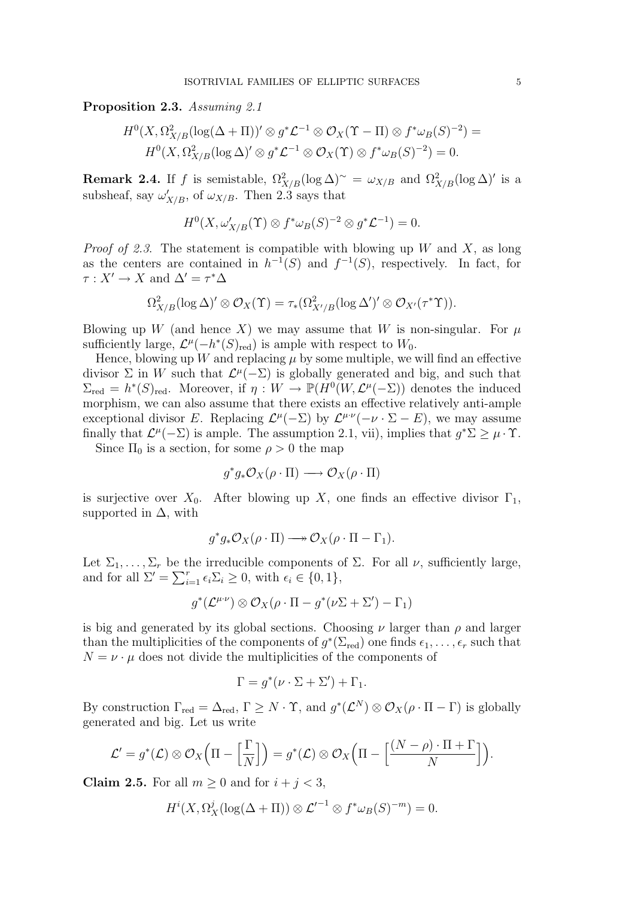Proposition 2.3. Assuming 2.1

$$
H^{0}(X,\Omega^{2}_{X/B}(\log(\Delta+\Pi))' \otimes g^{*}\mathcal{L}^{-1} \otimes \mathcal{O}_{X}(\Upsilon - \Pi) \otimes f^{*}\omega_{B}(S)^{-2}) =
$$
  

$$
H^{0}(X,\Omega^{2}_{X/B}(\log \Delta)' \otimes g^{*}\mathcal{L}^{-1} \otimes \mathcal{O}_{X}(\Upsilon) \otimes f^{*}\omega_{B}(S)^{-2}) = 0.
$$

**Remark 2.4.** If f is semistable,  $\Omega_{X/B}^2(\log \Delta)$ <sup>~</sup> =  $\omega_{X/B}$  and  $\Omega_{X/B}^2(\log \Delta)$ ' is a subsheaf, say  $\omega'_{X/B}$ , of  $\omega_{X/B}$ . Then 2.3 says that

$$
H^0(X, \omega'_{X/B}(\Upsilon) \otimes f^* \omega_B(S)^{-2} \otimes g^* \mathcal{L}^{-1}) = 0.
$$

*Proof of 2.3.* The statement is compatible with blowing up W and X, as long as the centers are contained in  $h^{-1}(S)$  and  $f^{-1}(S)$ , respectively. In fact, for  $\tau : X' \to X$  and  $\Delta' = \tau^* \Delta$ 

$$
\Omega^{2}_{X/B}(\log \Delta)' \otimes \mathcal{O}_{X}(\Upsilon) = \tau_{*}(\Omega^{2}_{X'/B}(\log \Delta')' \otimes \mathcal{O}_{X'}(\tau^{*}\Upsilon)).
$$

Blowing up W (and hence X) we may assume that W is non-singular. For  $\mu$ sufficiently large,  $\mathcal{L}^{\mu}(-h^*(S)_{\text{red}})$  is ample with respect to  $W_0$ .

Hence, blowing up W and replacing  $\mu$  by some multiple, we will find an effective divisor  $\Sigma$  in W such that  $\mathcal{L}^{\mu}(-\Sigma)$  is globally generated and big, and such that  $\Sigma_{\text{red}} = h^*(S)_{\text{red}}$ . Moreover, if  $\eta: W \to \mathbb{P}(H^0(W, \mathcal{L}^{\mu}(-\Sigma))$  denotes the induced morphism, we can also assume that there exists an effective relatively anti-ample exceptional divisor E. Replacing  $\mathcal{L}^{\mu}(-\Sigma)$  by  $\mathcal{L}^{\mu\nu}(-\nu \cdot \Sigma - E)$ , we may assume finally that  $\mathcal{L}^{\mu}(-\Sigma)$  is ample. The assumption 2.1, vii), implies that  $g^*\Sigma \geq \mu \cdot \Upsilon$ .

Since  $\Pi_0$  is a section, for some  $\rho > 0$  the map

$$
g^*g_*\mathcal{O}_X(\rho \cdot \Pi) \longrightarrow \mathcal{O}_X(\rho \cdot \Pi)
$$

is surjective over  $X_0$ . After blowing up X, one finds an effective divisor  $\Gamma_1$ , supported in  $\Delta$ , with

$$
g^*g_*\mathcal{O}_X(\rho \cdot \Pi) \longrightarrow \mathcal{O}_X(\rho \cdot \Pi - \Gamma_1).
$$

Let  $\Sigma_1, \ldots, \Sigma_r$  be the irreducible components of  $\Sigma$ . For all  $\nu$ , sufficiently large, and for all  $\Sigma' = \sum_{i=1}^r \epsilon_i \Sigma_i \ge 0$ , with  $\epsilon_i \in \{0, 1\}$ ,

$$
g^*(\mathcal{L}^{\mu\cdot\nu})\otimes\mathcal{O}_X(\rho\cdot\Pi-g^*(\nu\Sigma+\Sigma')-\Gamma_1)
$$

is big and generated by its global sections. Choosing  $\nu$  larger than  $\rho$  and larger than the multiplicities of the components of  $g^*(\Sigma_{\text{red}})$  one finds  $\epsilon_1, \ldots, \epsilon_r$  such that  $N = \nu \cdot \mu$  does not divide the multiplicities of the components of

$$
\Gamma = g^*(\nu \cdot \Sigma + \Sigma') + \Gamma_1.
$$

By construction  $\Gamma_{\text{red}} = \Delta_{\text{red}}$ ,  $\Gamma \geq N \cdot \Upsilon$ , and  $g^*(\mathcal{L}^N) \otimes \mathcal{O}_X(\rho \cdot \Pi - \Gamma)$  is globally generated and big. Let us write

$$
\mathcal{L}' = g^*(\mathcal{L}) \otimes \mathcal{O}_X\Big(\Pi - \Big[\frac{\Gamma}{N}\Big]\Big) = g^*(\mathcal{L}) \otimes \mathcal{O}_X\Big(\Pi - \Big[\frac{(N-\rho)\cdot\Pi + \Gamma}{N}\Big]\Big).
$$

Claim 2.5. For all  $m \geq 0$  and for  $i + j < 3$ ,

$$
H^{i}(X,\Omega^{j}_{X}(\log(\Delta + \Pi)) \otimes {\mathcal{L}}'^{-1} \otimes f^{*}\omega_{B}(S)^{-m}) = 0.
$$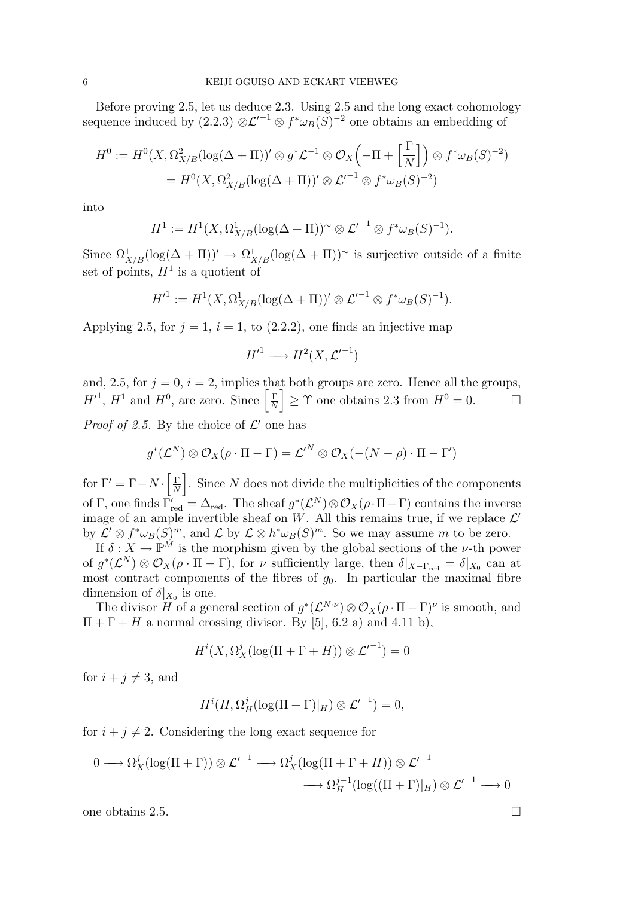Before proving 2.5, let us deduce 2.3. Using 2.5 and the long exact cohomology sequence induced by  $(2.2.3) \otimes \mathcal{L}'^{-1} \otimes f^* \omega_B(S)^{-2}$  one obtains an embedding of

$$
H^0 := H^0(X, \Omega^2_{X/B}(\log(\Delta + \Pi))' \otimes g^* \mathcal{L}^{-1} \otimes \mathcal{O}_X\left(-\Pi + \left[\frac{\Gamma}{N}\right]\right) \otimes f^* \omega_B(S)^{-2})
$$
  
=  $H^0(X, \Omega^2_{X/B}(\log(\Delta + \Pi))' \otimes \mathcal{L}'^{-1} \otimes f^* \omega_B(S)^{-2})$ 

into

$$
H^1 := H^1(X, \Omega^1_{X/B}(\log(\Delta + \Pi))^{\sim} \otimes {\mathcal{L}}'^{-1} \otimes f^* \omega_B(S)^{-1}).
$$

Since  $\Omega^1_{X/B}(\log(\Delta + \Pi))' \to \Omega^1_{X/B}(\log(\Delta + \Pi))$ <sup>~</sup> is surjective outside of a finite set of points,  $H^1$  is a quotient of

$$
H'^1 := H^1(X, \Omega^1_{X/B}(\log(\Delta + \Pi))' \otimes \mathcal{L}'^{-1} \otimes f^* \omega_B(S)^{-1}).
$$

Applying 2.5, for  $j = 1$ ,  $i = 1$ , to (2.2.2), one finds an injective map

$$
H'^1 \longrightarrow H^2(X, \mathcal{L}'^{-1})
$$

and, 2.5, for  $j = 0$ ,  $i = 2$ , implies that both groups are zero. Hence all the groups,  $H'^{1}$ ,  $H^{1}$  and  $H^{0}$ , are zero. Since  $\left[\frac{\Gamma}{N}\right]$  $\left[\frac{\Gamma}{N}\right] \geq \Upsilon$  one obtains 2.3 from  $H^0 = 0$ .  $\Box$ 

*Proof of 2.5.* By the choice of  $\mathcal{L}'$  one has

$$
g^*(\mathcal{L}^N) \otimes \mathcal{O}_X(\rho \cdot \Pi - \Gamma) = \mathcal{L}'^N \otimes \mathcal{O}_X(- (N - \rho) \cdot \Pi - \Gamma')
$$

for  $\Gamma' = \Gamma - N \cdot \left[ \frac{\Gamma}{N} \right]$  $\left\lfloor \frac{\Gamma}{N} \right\rfloor$ . Since N does not divide the multiplicities of the components of Γ, one finds  $\Gamma'_{red} = \Delta_{red}$ . The sheaf  $g^*(\mathcal{L}^N) \otimes \mathcal{O}_X(\rho \cdot \Pi - \Gamma)$  contains the inverse image of an ample invertible sheaf on W. All this remains true, if we replace  $\mathcal{L}'$ by  $\mathcal{L}' \otimes f^* \omega_B(S)^m$ , and  $\mathcal{L}$  by  $\mathcal{L} \otimes h^* \omega_B(S)^m$ . So we may assume m to be zero.

If  $\delta: X \to \mathbb{P}^M$  is the morphism given by the global sections of the *v*-th power of  $g^*(\mathcal{L}^N) \otimes \mathcal{O}_X(\rho \cdot \Pi - \Gamma)$ , for  $\nu$  sufficiently large, then  $\delta|_{X-\Gamma_{\text{red}}} = \delta|_{X_0}$  can at most contract components of the fibres of  $g_0$ . In particular the maximal fibre dimension of  $\delta |_{X_0}$  is one.

The divisor H of a general section of  $g^*(\mathcal{L}^{N\cdot\nu})\otimes\mathcal{O}_X(\rho\cdot\Pi-\Gamma)^\nu$  is smooth, and  $\Pi + \Gamma + H$  a normal crossing divisor. By [5], 6.2 a) and 4.11 b),

$$
H^{i}(X,\Omega^{j}_{X}(\log(\Pi+\Gamma+H))\otimes {\mathcal{L}}'^{-1})=0
$$

for  $i + j \neq 3$ , and

$$
H^{i}(H, \Omega_{H}^{j}(\log(\Pi + \Gamma)|_{H}) \otimes {\mathcal{L}}^{\prime -1}) = 0,
$$

for  $i + j \neq 2$ . Considering the long exact sequence for

$$
0 \longrightarrow \Omega_X^j(\log(\Pi + \Gamma)) \otimes {\mathcal{L}}'^{-1} \longrightarrow \Omega_X^j(\log(\Pi + \Gamma + H)) \otimes {\mathcal{L}}'^{-1} \longrightarrow 0
$$
  

$$
\longrightarrow \Omega_H^{j-1}(\log((\Pi + \Gamma)|_H) \otimes {\mathcal{L}}'^{-1} \longrightarrow 0
$$

one obtains 2.5.

$$
\qquad \qquad \Box
$$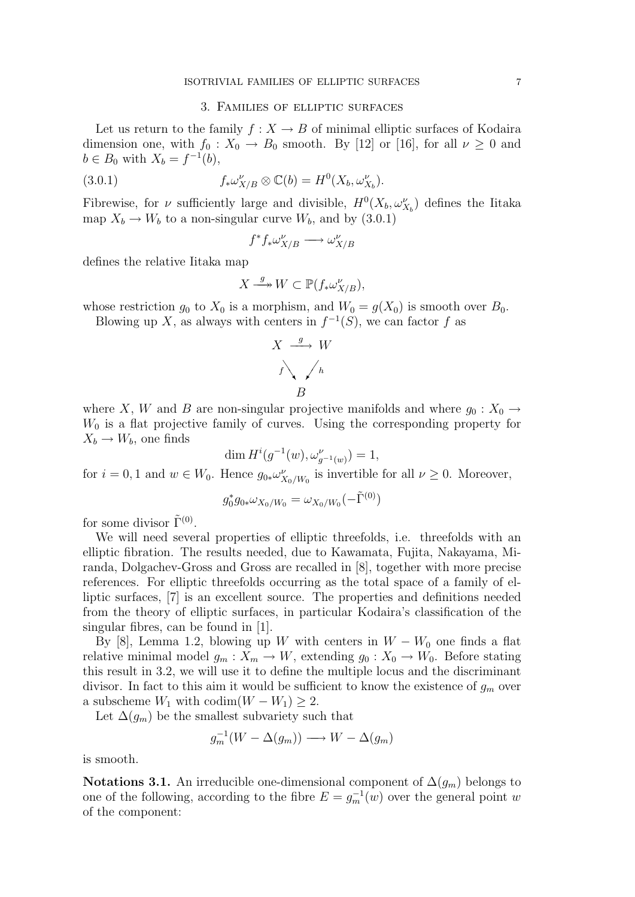### 3. Families of elliptic surfaces

Let us return to the family  $f: X \to B$  of minimal elliptic surfaces of Kodaira dimension one, with  $f_0 : X_0 \to B_0$  smooth. By [12] or [16], for all  $\nu \geq 0$  and  $b \in B_0$  with  $X_b = f^{-1}(b)$ ,

(3.0.1) 
$$
f_*\omega_{X/B}^{\nu} \otimes \mathbb{C}(b) = H^0(X_b, \omega_{X_b}^{\nu}).
$$

Fibrewise, for  $\nu$  sufficiently large and divisible,  $H^0(X_b, \omega^{\nu}_{X_b})$  defines the Iitaka map  $X_b \to W_b$  to a non-singular curve  $W_b$ , and by (3.0.1)

$$
f^* f_* \omega_{X/B}^{\nu} \longrightarrow \omega_{X/B}^{\nu}
$$

defines the relative Iitaka map

$$
X \xrightarrow{g} W \subset \mathbb{P}(f_* \omega_{X/B}^{\nu}),
$$

whose restriction  $g_0$  to  $X_0$  is a morphism, and  $W_0 = g(X_0)$  is smooth over  $B_0$ . Blowing up X, as always with centers in  $f^{-1}(S)$ , we can factor f as

$$
X \xrightarrow{g} W
$$
  
 $f \searrow \searrow h$   
 $B$ 

where X, W and B are non-singular projective manifolds and where  $g_0: X_0 \to$  $W_0$  is a flat projective family of curves. Using the corresponding property for  $X_b \to W_b$ , one finds

$$
\dim H^i(g^{-1}(w), \omega_{g^{-1}(w)}^{\nu}) = 1,
$$

for  $i = 0, 1$  and  $w \in W_0$ . Hence  $g_{0*}\omega_{X_0/W_0}^{\nu}$  is invertible for all  $\nu \geq 0$ . Moreover,

$$
g_0^* g_{0*} \omega_{X_0/W_0} = \omega_{X_0/W_0} (-\tilde{\Gamma}^{(0)})
$$

for some divisor  $\tilde{\Gamma}^{(0)}$ .

We will need several properties of elliptic threefolds, i.e. threefolds with an elliptic fibration. The results needed, due to Kawamata, Fujita, Nakayama, Miranda, Dolgachev-Gross and Gross are recalled in [8], together with more precise references. For elliptic threefolds occurring as the total space of a family of elliptic surfaces, [7] is an excellent source. The properties and definitions needed from the theory of elliptic surfaces, in particular Kodaira's classification of the singular fibres, can be found in [1].

By [8], Lemma 1.2, blowing up W with centers in  $W - W_0$  one finds a flat relative minimal model  $g_m : X_m \to W$ , extending  $g_0 : X_0 \to W_0$ . Before stating this result in 3.2, we will use it to define the multiple locus and the discriminant divisor. In fact to this aim it would be sufficient to know the existence of  $g_m$  over a subscheme  $W_1$  with  $\text{codim}(W - W_1) \geq 2$ .

Let  $\Delta(g_m)$  be the smallest subvariety such that

$$
g_m^{-1}(W - \Delta(g_m)) \longrightarrow W - \Delta(g_m)
$$

is smooth.

Notations 3.1. An irreducible one-dimensional component of  $\Delta(g_m)$  belongs to one of the following, according to the fibre  $E = g_m^{-1}(w)$  over the general point w of the component: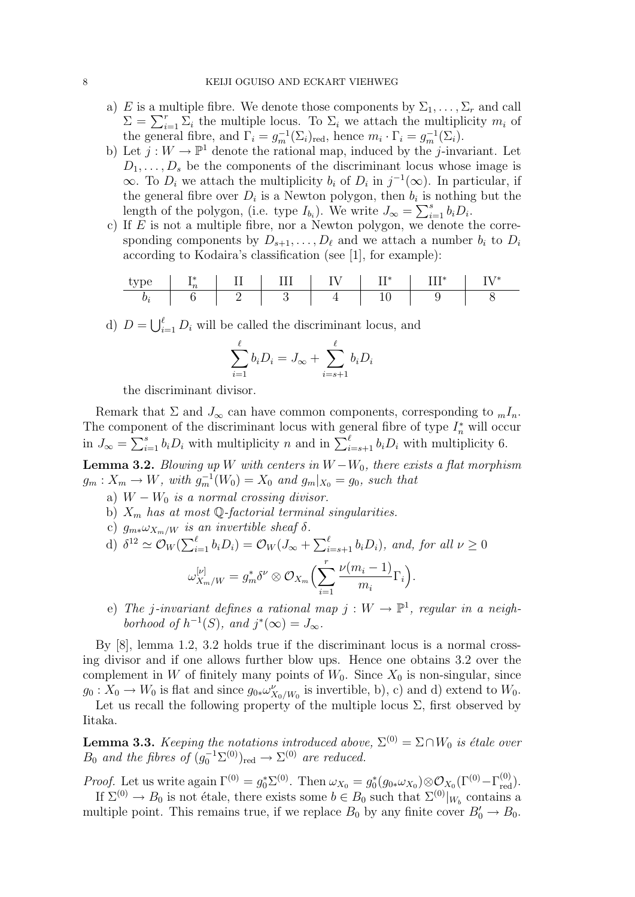- a) E is a multiple fibre. We denote those components by  $\Sigma_1, \ldots, \Sigma_r$  and call  $\Sigma = \sum_{i=1}^r \overline{\Sigma}_i$  the multiple locus. To  $\Sigma_i$  we attach the multiplicity  $m_i$  of the general fibre, and  $\Gamma_i = g_m^{-1}(\Sigma_i)_{\text{red}}$ , hence  $m_i \cdot \Gamma_i = g_m^{-1}(\Sigma_i)$ .
- b) Let  $j: W \to \mathbb{P}^1$  denote the rational map, induced by the j-invariant. Let  $D_1, \ldots, D_s$  be the components of the discriminant locus whose image is  $\infty$ . To  $D_i$  we attach the multiplicity  $b_i$  of  $D_i$  in  $j^{-1}(\infty)$ . In particular, if the general fibre over  $D_i$  is a Newton polygon, then  $b_i$  is nothing but the length of the polygon, (i.e. type  $I_{b_i}$ ). We write  $J_{\infty} = \sum_{i=1}^{s} b_i D_i$ .
- c) If  $E$  is not a multiple fibre, nor a Newton polygon, we denote the corresponding components by  $D_{s+1}, \ldots, D_{\ell}$  and we attach a number  $b_i$  to  $D_i$ according to Kodaira's classification (see [1], for example):

| type  | $I_n^*$ | II | III | IV | II^* | III^* | IV^* |
|-------|---------|----|-----|----|------|-------|------|
| $b_i$ | 6       | 2  | 3   | 4  | 10   | 9     | 8    |

d)  $D = \bigcup_{i=1}^{\ell} D_i$  will be called the discriminant locus, and

$$
\sum_{i=1}^{\ell} b_i D_i = J_{\infty} + \sum_{i=s+1}^{\ell} b_i D_i
$$

the discriminant divisor.

Remark that  $\Sigma$  and  $J_{\infty}$  can have common components, corresponding to  $_m I_n$ . The component of the discriminant locus with general fibre of type  $I_n^*$  will occur in  $J_{\infty} = \sum_{i=1}^{s} b_i D_i$  with multiplicity n and in  $\sum_{i=s+1}^{\ell} b_i D_i$  with multiplicity 6.

**Lemma 3.2.** Blowing up W with centers in  $W - W_0$ , there exists a flat morphism  $g_m: X_m \to W$ , with  $g_m^{-1}(W_0) = X_0$  and  $g_m|_{X_0} = g_0$ , such that

- a)  $W W_0$  is a normal crossing divisor.
- b)  $X_m$  has at most Q-factorial terminal singularities.
- c)  $g_{m*}\omega_{X_m/W}$  is an invertible sheaf  $\delta$ .

d) 
$$
\delta^{12} \simeq \mathcal{O}_W(\sum_{i=1}^{\ell} b_i D_i) = \mathcal{O}_W(J_\infty + \sum_{i=s+1}^{\ell} b_i D_i), \text{ and, for all } \nu \ge 0
$$
  

$$
\omega_{X_m/W}^{[\nu]} = g_m^* \delta^\nu \otimes \mathcal{O}_{X_m}\Big(\sum_{i=1}^r \frac{\nu(m_i - 1)}{m_i} \Gamma_i\Big).
$$

(e) The j-invariant defines a rational map  $j: W \to \mathbb{P}^1$ , regular in a neighborhood of  $h^{-1}(S)$ , and  $j^*(\infty) = J_{\infty}$ .

By [8], lemma 1.2, 3.2 holds true if the discriminant locus is a normal crossing divisor and if one allows further blow ups. Hence one obtains 3.2 over the complement in W of finitely many points of  $W_0$ . Since  $X_0$  is non-singular, since  $g_0: X_0 \to W_0$  is flat and since  $g_{0*}\omega_{X_0/W_0}^{\nu}$  is invertible, b), c) and d) extend to  $W_0$ .

Let us recall the following property of the multiple locus  $\Sigma$ , first observed by Iitaka.

**Lemma 3.3.** Keeping the notations introduced above,  $\Sigma^{(0)} = \Sigma \cap W_0$  is étale over  $B_0$  and the fibres of  $(g_0^{-1}\Sigma^{(0)})_{\text{red}} \to \Sigma^{(0)}$  are reduced.

*Proof.* Let us write again  $\Gamma^{(0)} = g_0^* \Sigma^{(0)}$ . Then  $\omega_{X_0} = g_0^*(g_{0*}\omega_{X_0}) \otimes \mathcal{O}_{X_0}(\Gamma^{(0)} - \Gamma_{\text{red}}^{(0)})$ .

If  $\Sigma^{(0)} \to B_0$  is not étale, there exists some  $b \in B_0$  such that  $\Sigma^{(0)}|_{W_b}$  contains a multiple point. This remains true, if we replace  $B_0$  by any finite cover  $B'_0 \to B_0$ .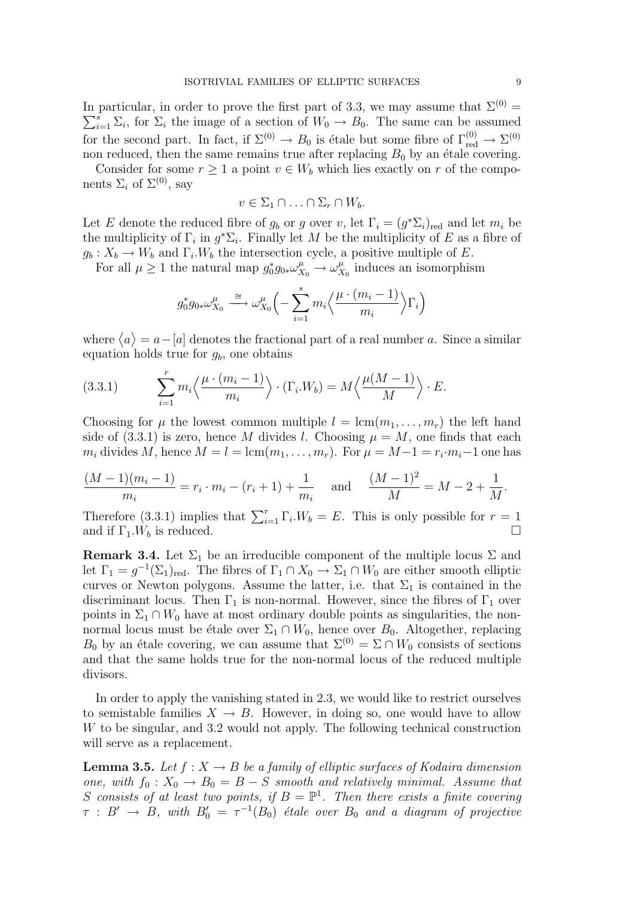In particular, in order to prove the first part of 3.3, we may assume that  $\Sigma^{(0)}$  =  $\sum_{i=1}^{s} \Sigma_i$ , for  $\Sigma_i$  the image of a section of  $W_0 \to B_0$ . The same can be assumed for the second part. In fact, if  $\Sigma^{(0)} \to B_0$  is étale but some fibre of  $\Gamma_{\text{red}}^{(0)} \to \Sigma^{(0)}$ non reduced, then the same remains true after replacing  $B_0$  by an étale covering.

Consider for some  $r \geq 1$  a point  $v \in W_b$  which lies exactly on r of the components  $\Sigma_i$  of  $\Sigma^{(0)}$ , say

$$
v \in \Sigma_1 \cap \ldots \cap \Sigma_r \cap W_b.
$$

Let E denote the reduced fibre of  $g_b$  or g over v, let  $\Gamma_i = (g^* \Sigma_i)_{\text{red}}$  and let  $m_i$  be the multiplicity of  $\Gamma_i$  in  $g^*\Sigma_i$ . Finally let M be the multiplicity of E as a fibre of  $g_b: X_b \to W_b$  and  $\Gamma_i.W_b$  the intersection cycle, a positive multiple of E.

For all  $\mu \geq 1$  the natural map  $g_0^* g_{0*} \omega_{X_0}^{\mu} \rightarrow \omega_X^{\mu}$  $\frac{\mu}{X_0}$  induces an isomorphism

$$
g_0^* g_{0*} \omega_{X_0}^{\mu} \stackrel{\cong}{\longrightarrow} \omega_{X_0}^{\mu} \left( -\sum_{i=1}^s m_i \left\langle \frac{\mu \cdot (m_i - 1)}{m_i} \right\rangle \Gamma_i \right)
$$

where  $\langle a \rangle = a - [a]$  denotes the fractional part of a real number a. Since a similar equation holds true for  $g_b$ , one obtains

(3.3.1) 
$$
\sum_{i=1}^{r} m_i \left\langle \frac{\mu \cdot (m_i - 1)}{m_i} \right\rangle \cdot (\Gamma_i \cdot W_b) = M \left\langle \frac{\mu(M - 1)}{M} \right\rangle \cdot E.
$$

Choosing for  $\mu$  the lowest common multiple  $l = \text{lcm}(m_1, \ldots, m_r)$  the left hand side of (3.3.1) is zero, hence M divides l. Choosing  $\mu = M$ , one finds that each  $m_i$  divides M, hence  $M = l = \text{lcm}(m_1, \ldots, m_r)$ . For  $\mu = M - 1 = r_i \cdot m_i - 1$  one has

$$
\frac{(M-1)(m_i-1)}{m_i} = r_i \cdot m_i - (r_i+1) + \frac{1}{m_i} \quad \text{and} \quad \frac{(M-1)^2}{M} = M - 2 + \frac{1}{M}.
$$

Therefore (3.3.1) implies that  $\sum_{i=1}^{r} \Gamma_i W_b = E$ . This is only possible for  $r = 1$ and if  $\Gamma_1.W_b$  is reduced.

**Remark 3.4.** Let  $\Sigma_1$  be an irreducible component of the multiple locus  $\Sigma$  and let  $\Gamma_1 = g^{-1}(\Sigma_1)_{\text{red}}$ . The fibres of  $\Gamma_1 \cap X_0 \to \Sigma_1 \cap W_0$  are either smooth elliptic curves or Newton polygons. Assume the latter, i.e. that  $\Sigma_1$  is contained in the discriminant locus. Then  $\Gamma_1$  is non-normal. However, since the fibres of  $\Gamma_1$  over points in  $\Sigma_1 \cap W_0$  have at most ordinary double points as singularities, the nonnormal locus must be étale over  $\Sigma_1 \cap W_0$ , hence over  $B_0$ . Altogether, replacing  $B_0$  by an étale covering, we can assume that  $\Sigma^{(0)} = \Sigma \cap W_0$  consists of sections and that the same holds true for the non-normal locus of the reduced multiple divisors.

In order to apply the vanishing stated in 2.3, we would like to restrict ourselves to semistable families  $X \to B$ . However, in doing so, one would have to allow W to be singular, and 3.2 would not apply. The following technical construction will serve as a replacement.

**Lemma 3.5.** Let  $f: X \to B$  be a family of elliptic surfaces of Kodaira dimension one, with  $f_0 : X_0 \to B_0 = B - S$  smooth and relatively minimal. Assume that S consists of at least two points, if  $B = \mathbb{P}^1$ . Then there exists a finite covering  $\tau$  :  $B' \rightarrow B$ , with  $B'_0 = \tau^{-1}(B_0)$  étale over  $B_0$  and a diagram of projective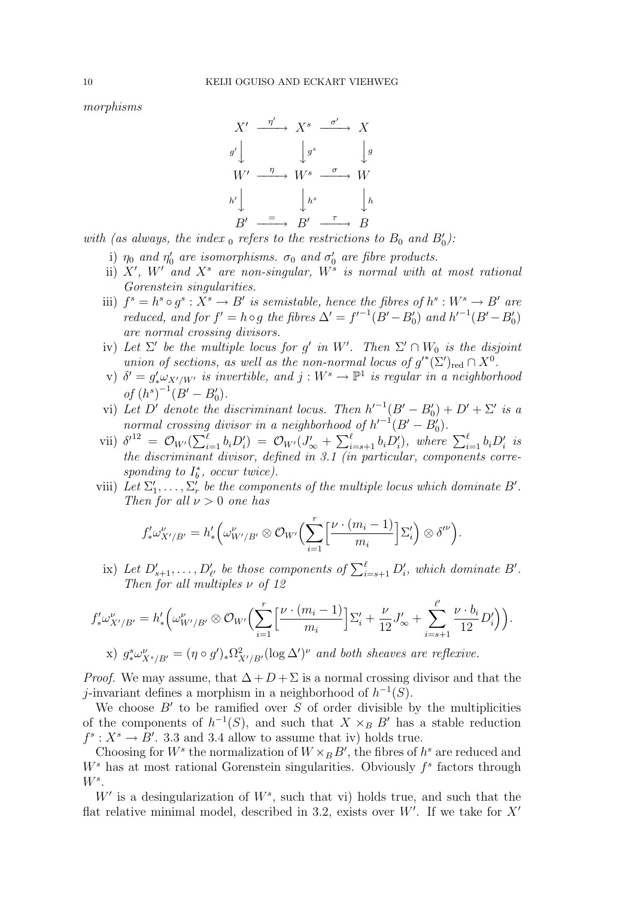morphisms

$$
X' \xrightarrow{\eta'} X^s \xrightarrow{\sigma'} X
$$
  
\n
$$
g' \downarrow \qquad \qquad g^s \qquad \qquad \downarrow g
$$
  
\n
$$
W' \xrightarrow{\eta} W^s \xrightarrow{\sigma} W
$$
  
\n
$$
h' \downarrow \qquad \qquad h^s \qquad \qquad \downarrow h
$$
  
\n
$$
B' \xrightarrow{\tau} B' \xrightarrow{\tau} B
$$

with (as always, the index  $_0$  refers to the restrictions to  $B_0$  and  $B'_0$ ):

- i)  $\eta_0$  and  $\eta'_0$  are isomorphisms.  $\sigma_0$  and  $\sigma'_0$  are fibre products.
- ii)  $X'$ ,  $W'$  and  $X^s$  are non-singular,  $W^s$  is normal with at most rational Gorenstein singularities.
- iii)  $f^s = h^s \circ g^s : X^s \to B'$  is semistable, hence the fibres of  $h^s : W^s \to B'$  are reduced, and for  $f' = h \circ g$  the fibres  $\Delta' = f'^{-1}(B' - B'_0)$  and  $h'^{-1}(B' - B'_0)$ are normal crossing divisors.
- iv) Let  $\Sigma'$  be the multiple locus for g' in W'. Then  $\Sigma' \cap W_0$  is the disjoint union of sections, as well as the non-normal locus of  $g'^*(\Sigma')_{\text{red}} \cap X^0$ .
- v)  $\delta' = g'_* \omega_{X'/W'}$  is invertible, and  $j: W^s \to \mathbb{P}^1$  is regular in a neighborhood of  $(h^s)^{-1}(B' - B'_0)$ .
- vi) Let D' denote the discriminant locus. Then  $h'^{-1}(B' B'_0) + D' + \Sigma'$  is a normal crossing divisor in a neighborhood of  $h'^{-1}(B'-B'_0)$ .
- vii)  $\delta^{12} = \mathcal{O}_{W'}(\sum_{i=1}^{\ell} b_i D_i') = \mathcal{O}_{W'}(J'_{\infty} + \sum_{i=s+1}^{\ell} b_i D_i'),$  where  $\sum_{i=1}^{\ell} b_i D_i'$  is the discriminant divisor, defined in 3.1 (in particular, components corresponding to  $I_b^*$ , occur twice).
- viii) Let  $\Sigma'_1, \ldots, \Sigma'_r$  be the components of the multiple locus which dominate B'. Then for all  $\nu > 0$  one has

$$
f'_* \omega^{\nu}_{X'/B'} = h'_* \Big(\omega^{\nu}_{W'/B'} \otimes \mathcal{O}_{W'} \Big(\sum_{i=1}^r \Big[\frac{\nu \cdot (m_i-1)}{m_i}\Big] \Sigma'_i \Big) \otimes \delta^{\prime \nu} \Big).
$$

ix) Let  $D'_{s+1}, \ldots, D'_{\ell'}$  be those components of  $\sum_{i=s+1}^{\ell} D'_{i}$ , which dominate  $B'$ . Then for all multiples  $\nu$  of 12

$$
f'_* \omega^{\nu}_{X'/B'} = h'_* \Big( \omega^{\nu}_{W'/B'} \otimes \mathcal{O}_{W'} \Big( \sum_{i=1}^r \Big[ \frac{\nu \cdot (m_i - 1)}{m_i} \Big] \Sigma'_i + \frac{\nu}{12} J'_{\infty} + \sum_{i=s+1}^{\ell'} \frac{\nu \cdot b_i}{12} D'_i \Big) \Big).
$$

x) 
$$
g^s_* \omega^{\nu}_{X^s/B'} = (\eta \circ g')^* \Omega^2_{X'/B'} (\log \Delta')^{\nu}
$$
 and both sheaves are reflexive.

*Proof.* We may assume, that  $\Delta + D + \Sigma$  is a normal crossing divisor and that the j-invariant defines a morphism in a neighborhood of  $h^{-1}(S)$ .

We choose  $B'$  to be ramified over  $S$  of order divisible by the multiplicities of the components of  $h^{-1}(S)$ , and such that  $X \times_B B'$  has a stable reduction  $f^s: X^s \to B'$ . 3.3 and 3.4 allow to assume that iv) holds true.

Choosing for  $W^s$  the normalization of  $W \times_B B'$ , the fibres of  $h^s$  are reduced and  $W<sup>s</sup>$  has at most rational Gorenstein singularities. Obviously  $f<sup>s</sup>$  factors through  $W^s$ .

 $W'$  is a desingularization of  $W^s$ , such that vi) holds true, and such that the flat relative minimal model, described in 3.2, exists over  $W'$ . If we take for  $X'$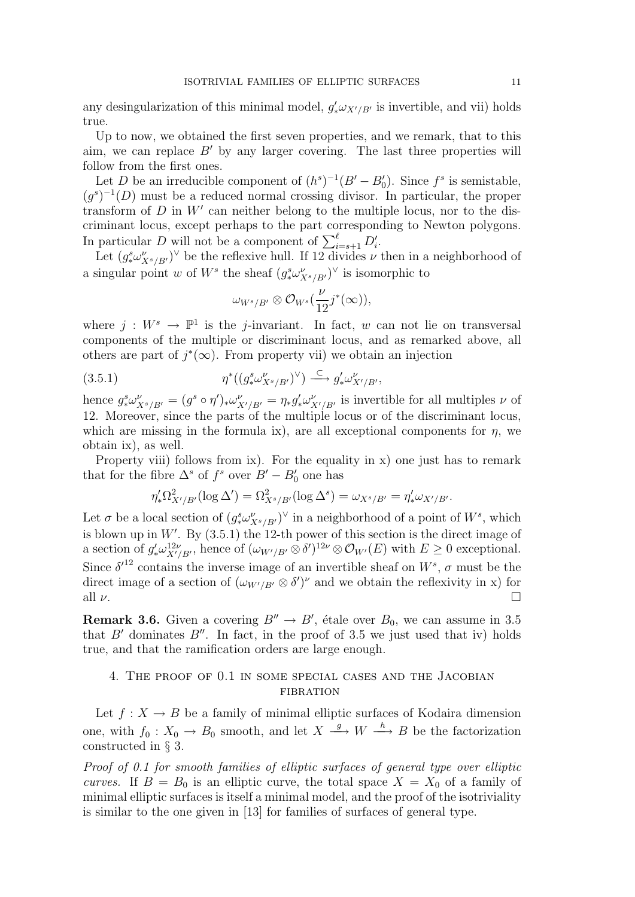any desingularization of this minimal model,  $g'_* \omega_{X'/B'}$  is invertible, and vii) holds true.

Up to now, we obtained the first seven properties, and we remark, that to this aim, we can replace  $B'$  by any larger covering. The last three properties will follow from the first ones.

Let D be an irreducible component of  $(h^s)^{-1}(B'-B'_0)$ . Since  $f^s$  is semistable,  $(g<sup>s</sup>)<sup>-1</sup>(D)$  must be a reduced normal crossing divisor. In particular, the proper transform of  $D$  in  $W'$  can neither belong to the multiple locus, nor to the discriminant locus, except perhaps to the part corresponding to Newton polygons. In particular D will not be a component of  $\sum_{i=s+1}^{\ell} D_i'$ .

Let  $(g^s_* \omega^{\nu}_{X^s/B'})^{\vee}$  be the reflexive hull. If 12 divides  $\nu$  then in a neighborhood of a singular point w of  $W^s$  the sheaf  $(g^s_* \omega^{\nu}_{X^s/B'})^{\vee}$  is isomorphic to

$$
\omega_{W^s/B'}\otimes \mathcal{O}_{W^s}(\frac{\nu}{12}j^*(\infty)),
$$

where  $j: W^s \to \mathbb{P}^1$  is the j-invariant. In fact, w can not lie on transversal components of the multiple or discriminant locus, and as remarked above, all others are part of  $j^*(\infty)$ . From property vii) we obtain an injection

$$
(3.5.1) \t\t \eta^*((g^s_*\omega^{\nu}_{X^s/B'})^{\vee}) \xrightarrow{\subset} g'_*\omega^{\nu}_{X'/B'},
$$

hence  $g^s_*\omega^{\nu}_{X^s/B'} = (g^s \circ \eta')_*\omega^{\nu}_{X'/B'} = \eta_*g'_*\omega^{\nu}_{X'/B'}$  is invertible for all multiples  $\nu$  of 12. Moreover, since the parts of the multiple locus or of the discriminant locus, which are missing in the formula ix), are all exceptional components for  $\eta$ , we obtain ix), as well.

Property viii) follows from ix). For the equality in x) one just has to remark that for the fibre  $\Delta^s$  of  $f^s$  over  $B'-B'_0$  one has

$$
\eta'_*\Omega^2_{X'/B'}(\log \Delta') = \Omega^2_{X^s/B'}(\log \Delta^s) = \omega_{X^s/B'} = \eta'_*\omega_{X'/B'}.
$$

Let  $\sigma$  be a local section of  $(g^s_* \omega^{\nu}_{X^s/B'})^{\vee}$  in a neighborhood of a point of  $W^s$ , which is blown up in  $W'$ . By  $(3.5.1)$  the 12-th power of this section is the direct image of a section of  $g'_*\omega^{12\nu}_{X'/B'}$ , hence of  $(\omega_{W'/B'} \otimes \delta')^{12\nu} \otimes \mathcal{O}_{W'}(E)$  with  $E \geq 0$  exceptional. Since  $\delta^{12}$  contains the inverse image of an invertible sheaf on  $W^s$ ,  $\sigma$  must be the direct image of a section of  $(\omega_{W'/B'} \otimes \delta')^{\nu}$  and we obtain the reflexivity in x) for all  $\nu$ .

**Remark 3.6.** Given a covering  $B'' \to B'$ , étale over  $B_0$ , we can assume in 3.5 that  $B'$  dominates  $B''$ . In fact, in the proof of 3.5 we just used that iv) holds true, and that the ramification orders are large enough.

# 4. The proof of 0.1 in some special cases and the Jacobian FIBRATION

Let  $f: X \to B$  be a family of minimal elliptic surfaces of Kodaira dimension one, with  $f_0: X_0 \to B_0$  smooth, and let  $X \stackrel{g}{\longrightarrow} W \stackrel{h}{\longrightarrow} B$  be the factorization constructed in § 3.

Proof of 0.1 for smooth families of elliptic surfaces of general type over elliptic curves. If  $B = B_0$  is an elliptic curve, the total space  $X = X_0$  of a family of minimal elliptic surfaces is itself a minimal model, and the proof of the isotriviality is similar to the one given in [13] for families of surfaces of general type.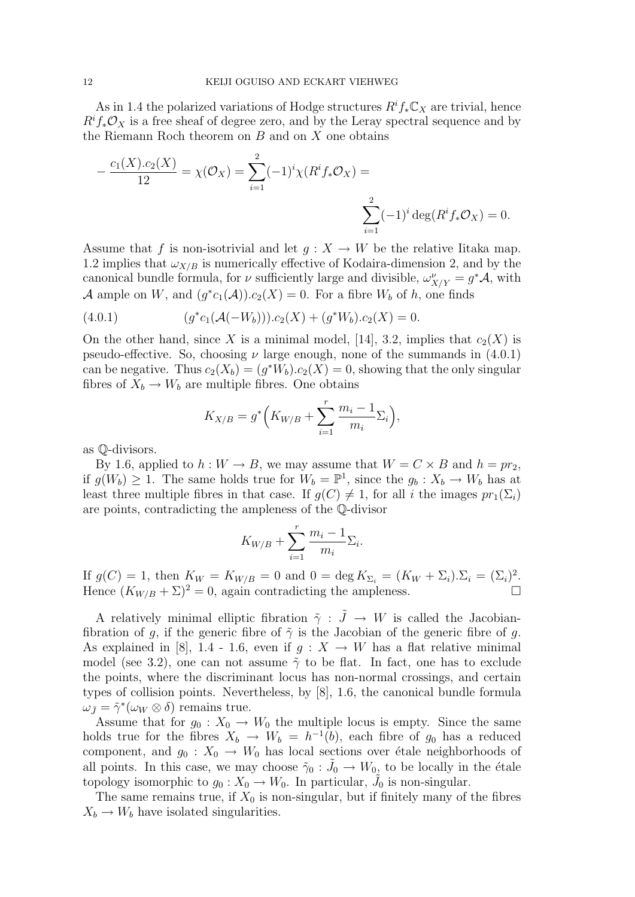As in 1.4 the polarized variations of Hodge structures  $R^i f_* \mathbb{C}_X$  are trivial, hence  $R^i f_* \mathcal{O}_X$  is a free sheaf of degree zero, and by the Leray spectral sequence and by the Riemann Roch theorem on  $B$  and on  $X$  one obtains

$$
-\frac{c_1(X).c_2(X)}{12} = \chi(\mathcal{O}_X) = \sum_{i=1}^2 (-1)^i \chi(R^i f_* \mathcal{O}_X) = \sum_{i=1}^2 (-1)^i \deg(R^i f_* \mathcal{O}_X) = 0.
$$

Assume that f is non-isotrivial and let  $g: X \to W$  be the relative Iitaka map. 1.2 implies that  $\omega_{X/B}$  is numerically effective of Kodaira-dimension 2, and by the canonical bundle formula, for  $\nu$  sufficiently large and divisible,  $\omega_{X/Y}^{\nu} = g^* A$ , with A ample on W, and  $(g^*c_1(\mathcal{A})) \cdot c_2(X) = 0$ . For a fibre  $W_b$  of h, one finds

(4.0.1) 
$$
(g^*c_1(\mathcal{A}(-W_b))).c_2(X) + (g^*W_b).c_2(X) = 0.
$$

On the other hand, since X is a minimal model, [14], 3.2, implies that  $c_2(X)$  is pseudo-effective. So, choosing  $\nu$  large enough, none of the summands in (4.0.1) can be negative. Thus  $c_2(X_b) = (g^*W_b).c_2(X) = 0$ , showing that the only singular fibres of  $X_b \to W_b$  are multiple fibres. One obtains

$$
K_{X/B} = g^* \Big( K_{W/B} + \sum_{i=1}^r \frac{m_i - 1}{m_i} \Sigma_i \Big),
$$

as Q-divisors.

By 1.6, applied to  $h: W \to B$ , we may assume that  $W = C \times B$  and  $h = pr_2$ , if  $g(W_b) \geq 1$ . The same holds true for  $W_b = \mathbb{P}^1$ , since the  $g_b: X_b \to W_b$  has at least three multiple fibres in that case. If  $g(C) \neq 1$ , for all i the images  $pr_1(\Sigma_i)$ are points, contradicting the ampleness of the Q-divisor

$$
K_{W/B} + \sum_{i=1}^r \frac{m_i - 1}{m_i} \Sigma_i.
$$

If  $g(C) = 1$ , then  $K_W = K_{W/B} = 0$  and  $0 = \deg K_{\Sigma_i} = (K_W + \Sigma_i) \cdot \Sigma_i = (\Sigma_i)^2$ . Hence  $(K_{W/B} + \Sigma)^2 = 0$ , again contradicting the ampleness.

A relatively minimal elliptic fibration  $\tilde{\gamma}$  :  $\tilde{J} \rightarrow W$  is called the Jacobianfibration of g, if the generic fibre of  $\tilde{\gamma}$  is the Jacobian of the generic fibre of g. As explained in [8], 1.4 - 1.6, even if  $q: X \to W$  has a flat relative minimal model (see 3.2), one can not assume  $\tilde{\gamma}$  to be flat. In fact, one has to exclude the points, where the discriminant locus has non-normal crossings, and certain types of collision points. Nevertheless, by [8], 1.6, the canonical bundle formula  $\omega_{\tilde{J}} = \tilde{\gamma}^*(\omega_W \otimes \delta)$  remains true.

Assume that for  $g_0: X_0 \to W_0$  the multiple locus is empty. Since the same holds true for the fibres  $X_b \to W_b = h^{-1}(b)$ , each fibre of  $g_0$  has a reduced component, and  $g_0: X_0 \to W_0$  has local sections over étale neighborhoods of all points. In this case, we may choose  $\tilde{\gamma}_0$  :  $\tilde{J}_0 \to W_0$ , to be locally in the étale topology isomorphic to  $g_0: X_0 \to W_0$ . In particular,  $\tilde{J}_0$  is non-singular.

The same remains true, if  $X_0$  is non-singular, but if finitely many of the fibres  $X_b \to W_b$  have isolated singularities.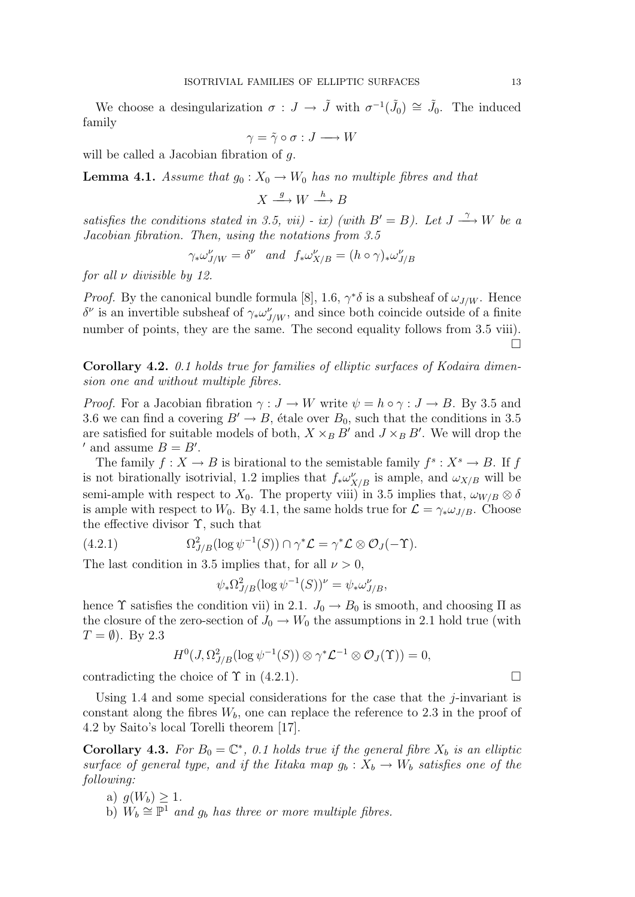We choose a desingularization  $\sigma: J \to \tilde{J}$  with  $\sigma^{-1}(\tilde{J}_0) \cong \tilde{J}_0$ . The induced family

$$
\gamma = \tilde{\gamma} \circ \sigma : J \longrightarrow W
$$

will be called a Jacobian fibration of q.

**Lemma 4.1.** Assume that  $g_0: X_0 \to W_0$  has no multiple fibres and that

$$
X \xrightarrow{g} W \xrightarrow{h} B
$$

satisfies the conditions stated in 3.5, vii) - ix) (with  $B' = B$ ). Let  $J \stackrel{\gamma}{\longrightarrow} W$  be a Jacobian fibration. Then, using the notations from 3.5

$$
\gamma_* \omega_{J/W}^{\nu} = \delta^{\nu} \quad and \quad f_* \omega_{X/B}^{\nu} = (h \circ \gamma)_* \omega_{J/B}^{\nu}
$$

for all  $\nu$  divisible by 12.

*Proof.* By the canonical bundle formula [8], 1.6,  $\gamma^* \delta$  is a subsheaf of  $\omega_{J/W}$ . Hence δ<sup>ν</sup> is an invertible subsheaf of  $\gamma_* \omega_{J/W}^{\nu}$ , and since both coincide outside of a finite number of points, they are the same. The second equality follows from 3.5 viii).  $\Box$ 

Corollary 4.2. 0.1 holds true for families of elliptic surfaces of Kodaira dimension one and without multiple fibres.

*Proof.* For a Jacobian fibration  $\gamma : J \to W$  write  $\psi = h \circ \gamma : J \to B$ . By 3.5 and 3.6 we can find a covering  $B' \to B$ , étale over  $B_0$ , such that the conditions in 3.5 are satisfied for suitable models of both,  $X \times_B B'$  and  $J \times_B B'$ . We will drop the ' and assume  $B = B'$ .

The family  $f: X \to B$  is birational to the semistable family  $f^s: X^s \to B$ . If f is not birationally isotrivial, 1.2 implies that  $f_*\omega_{X/B}^{\nu}$  is ample, and  $\omega_{X/B}$  will be semi-ample with respect to  $X_0$ . The property viii) in 3.5 implies that,  $\omega_{W/B} \otimes \delta$ is ample with respect to  $W_0$ . By 4.1, the same holds true for  $\mathcal{L} = \gamma_* \omega_{J/B}$ . Choose the effective divisor  $\Upsilon$ , such that

(4.2.1) 
$$
\Omega^2_{J/B}(\log \psi^{-1}(S)) \cap \gamma^* \mathcal{L} = \gamma^* \mathcal{L} \otimes \mathcal{O}_J(-\Upsilon).
$$

The last condition in 3.5 implies that, for all  $\nu > 0$ ,

$$
\psi_* \Omega_{J/B}^2 (\log \psi^{-1}(S))^\nu = \psi_* \omega_{J/B}^\nu,
$$

hence  $\Upsilon$  satisfies the condition vii) in 2.1.  $J_0 \rightarrow B_0$  is smooth, and choosing  $\Pi$  as the closure of the zero-section of  $J_0 \to W_0$  the assumptions in 2.1 hold true (with  $T = \emptyset$ ). By 2.3

$$
H^0(J, \Omega^2_{J/B}(\log \psi^{-1}(S)) \otimes \gamma^* \mathcal{L}^{-1} \otimes \mathcal{O}_J(\Upsilon)) = 0,
$$

contradicting the choice of  $\Upsilon$  in (4.2.1).

Using 1.4 and some special considerations for the case that the  $j$ -invariant is constant along the fibres  $W_b$ , one can replace the reference to 2.3 in the proof of 4.2 by Saito's local Torelli theorem [17].

**Corollary 4.3.** For  $B_0 = \mathbb{C}^*$ , 0.1 holds true if the general fibre  $X_b$  is an elliptic surface of general type, and if the Iitaka map  $g_b: X_b \to W_b$  satisfies one of the following:

- a)  $g(W_b) > 1$ .
- b)  $W_b \cong \overline{\mathbb{P}^1}$  and  $g_b$  has three or more multiple fibres.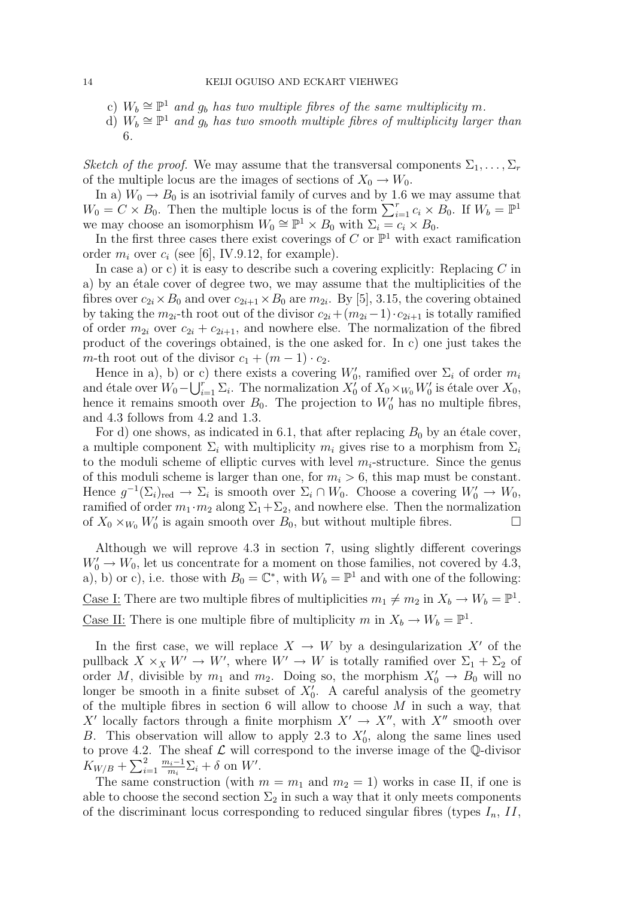- c)  $W_b \cong \mathbb{P}^1$  and  $g_b$  has two multiple fibres of the same multiplicity m.
- d)  $W_b \cong \mathbb{P}^1$  and  $g_b$  has two smooth multiple fibres of multiplicity larger than 6.

Sketch of the proof. We may assume that the transversal components  $\Sigma_1, \ldots, \Sigma_r$ of the multiple locus are the images of sections of  $X_0 \to W_0$ .

In a)  $W_0 \rightarrow B_0$  is an isotrivial family of curves and by 1.6 we may assume that  $W_0 = C \times B_0$ . Then the multiple locus is of the form  $\sum_{i=1}^r c_i \times B_0$ . If  $W_b = \mathbb{P}^1$ we may choose an isomorphism  $W_0 \cong \mathbb{P}^1 \times B_0$  with  $\Sigma_i = c_i \times B_0$ .

In the first three cases there exist coverings of  $C$  or  $\mathbb{P}^1$  with exact ramification order  $m_i$  over  $c_i$  (see [6], IV.9.12, for example).

In case a) or c) it is easy to describe such a covering explicitly: Replacing  $C$  in a) by an étale cover of degree two, we may assume that the multiplicities of the fibres over  $c_{2i} \times B_0$  and over  $c_{2i+1} \times B_0$  are  $m_{2i}$ . By [5], 3.15, the covering obtained by taking the  $m_{2i}$ -th root out of the divisor  $c_{2i} + (m_{2i}-1) \cdot c_{2i+1}$  is totally ramified of order  $m_{2i}$  over  $c_{2i} + c_{2i+1}$ , and nowhere else. The normalization of the fibred product of the coverings obtained, is the one asked for. In c) one just takes the m-th root out of the divisor  $c_1 + (m-1) \cdot c_2$ .

Hence in a), b) or c) there exists a covering  $W'_0$ , ramified over  $\Sigma_i$  of order  $m_i$ and étale over  $W_0 - \bigcup_{i=1}^r \Sigma_i$ . The normalization  $X_0'$  of  $X_0 \times_{W_0} W_0'$  is étale over  $X_0$ , hence it remains smooth over  $B_0$ . The projection to  $W'_0$  has no multiple fibres, and 4.3 follows from 4.2 and 1.3.

For d) one shows, as indicated in 6.1, that after replacing  $B_0$  by an étale cover, a multiple component  $\Sigma_i$  with multiplicity  $m_i$  gives rise to a morphism from  $\Sigma_i$ to the moduli scheme of elliptic curves with level  $m_i$ -structure. Since the genus of this moduli scheme is larger than one, for  $m_i > 6$ , this map must be constant. Hence  $g^{-1}(\Sigma_i)_{\text{red}} \to \Sigma_i$  is smooth over  $\Sigma_i \cap W_0$ . Choose a covering  $W'_0 \to W_0$ , ramified of order  $m_1 \cdot m_2$  along  $\Sigma_1 + \Sigma_2$ , and nowhere else. Then the normalization of  $X_0 \times_{W_0} W'_0$  is again smooth over  $B_0$ , but without multiple fibres.

Although we will reprove 4.3 in section 7, using slightly different coverings  $W'_0 \to W_0$ , let us concentrate for a moment on those families, not covered by 4.3, a), b) or c), i.e. those with  $B_0 = \mathbb{C}^*$ , with  $W_b = \mathbb{P}^1$  and with one of the following: <u>Case I:</u> There are two multiple fibres of multiplicities  $m_1 \neq m_2$  in  $X_b \to W_b = \mathbb{P}^1$ . <u>Case II:</u> There is one multiple fibre of multiplicity m in  $X_b \to W_b = \mathbb{P}^1$ .

In the first case, we will replace  $X \to W$  by a desingularization X' of the pullback  $X \times_X W' \to W'$ , where  $W' \to W$  is totally ramified over  $\Sigma_1 + \Sigma_2$  of order M, divisible by  $m_1$  and  $m_2$ . Doing so, the morphism  $X'_0 \to B_0$  will no longer be smooth in a finite subset of  $X'_{0}$ . A careful analysis of the geometry of the multiple fibres in section 6 will allow to choose  $M$  in such a way, that X' locally factors through a finite morphism  $X' \to X''$ , with  $X''$  smooth over B. This observation will allow to apply 2.3 to  $X'_0$ , along the same lines used to prove 4.2. The sheaf  $\mathcal L$  will correspond to the inverse image of the  $\mathbb Q$ -divisor  $K_{W/B} + \sum_{i=1}^{2} \frac{m_i-1}{m_i}$  $\frac{n_i-1}{m_i}\Sigma_i+\delta$  on W'.

The same construction (with  $m = m_1$  and  $m_2 = 1$ ) works in case II, if one is able to choose the second section  $\Sigma_2$  in such a way that it only meets components of the discriminant locus corresponding to reduced singular fibres (types  $I_n$ , II,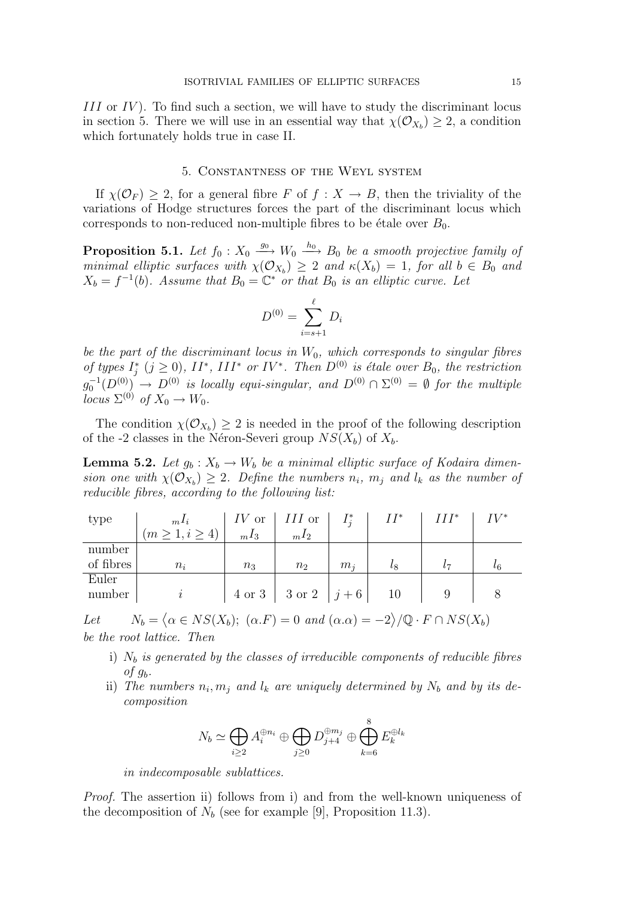III or IV). To find such a section, we will have to study the discriminant locus in section 5. There we will use in an essential way that  $\chi(\mathcal{O}_{X_b}) \geq 2$ , a condition which fortunately holds true in case II.

## 5. Constantness of the Weyl system

If  $\chi(\mathcal{O}_F) > 2$ , for a general fibre F of  $f: X \to B$ , then the triviality of the variations of Hodge structures forces the part of the discriminant locus which corresponds to non-reduced non-multiple fibres to be étale over  $B_0$ .

**Proposition 5.1.** Let  $f_0: X_0 \stackrel{g_0}{\longrightarrow} W_0 \stackrel{h_0}{\longrightarrow} B_0$  be a smooth projective family of minimal elliptic surfaces with  $\chi(\mathcal{O}_{X_b}) \geq 2$  and  $\kappa(X_b) = 1$ , for all  $b \in B_0$  and  $X_b = f^{-1}(b)$ . Assume that  $B_0 = \mathbb{C}^*$  or that  $B_0$  is an elliptic curve. Let

$$
D^{(0)} = \sum_{i=s+1}^{\ell} D_i
$$

be the part of the discriminant locus in  $W_0$ , which corresponds to singular fibres of types  $I_j^*$   $(j \geq 0)$ ,  $II^*$ ,  $III^*$  or  $IV^*$ . Then  $D^{(0)}$  is étale over  $B_0$ , the restriction  $g_0^{-1}(D^{(0)}) \rightarrow D^{(0)}$  is locally equi-singular, and  $D^{(0)} \cap \Sigma^{(0)} = \emptyset$  for the multiple locus  $\Sigma^{(0)}$  of  $X_0 \to W_0$ .

The condition  $\chi(\mathcal{O}_{X_b}) \geq 2$  is needed in the proof of the following description of the -2 classes in the Néron-Severi group  $NS(X_b)$  of  $X_b$ .

**Lemma 5.2.** Let  $g_b: X_b \to W_b$  be a minimal elliptic surface of Kodaira dimension one with  $\chi(\mathcal{O}_{X_b}) \geq 2$ . Define the numbers  $n_i$ ,  $m_j$  and  $l_k$  as the number of reducible fibres, according to the following list:

| type      | $m$ <sup>1</sup> i | $IV$ or | $III$ or                | $I_i^*$ | $II^*$    | $III^*$ | IV* |
|-----------|--------------------|---------|-------------------------|---------|-----------|---------|-----|
|           | (m > 1, i > 4)     | $nI_3$  | $mI_2$                  |         |           |         |     |
| number    |                    |         |                         |         |           |         |     |
| of fibres | $n_i$              | $n_3$   | n <sub>2</sub>          | $m_i$   | $\iota_8$ | l 7     |     |
| Euler     |                    |         |                         |         |           |         |     |
| number    |                    |         | 4 or 3   3 or 2   $j+6$ |         | 10        |         |     |

Let  $N_b = \langle \alpha \in NS(X_b); (\alpha.F) = 0 \text{ and } (\alpha.\alpha) = -2 \rangle / \mathbb{Q} \cdot F \cap NS(X_b)$ be the root lattice. Then

- i)  $N_b$  is generated by the classes of irreducible components of reducible fibres of  $q_b$ .
- ii) The numbers  $n_i, m_j$  and  $l_k$  are uniquely determined by  $N_b$  and by its decomposition

$$
N_b \simeq \bigoplus_{i \geq 2} A_i^{\oplus n_i} \oplus \bigoplus_{j \geq 0} D_{j+4}^{\oplus m_j} \oplus \bigoplus_{k=6}^8 E_k^{\oplus l_k}
$$

in indecomposable sublattices.

Proof. The assertion ii) follows from i) and from the well-known uniqueness of the decomposition of  $N_b$  (see for example [9], Proposition 11.3).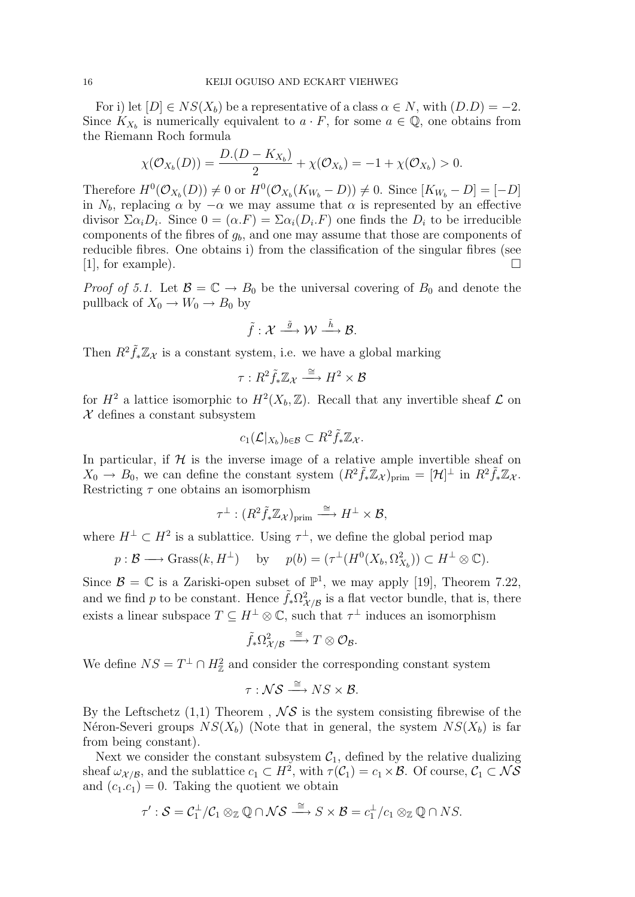For i) let  $[D] \in NS(X_b)$  be a representative of a class  $\alpha \in N$ , with  $(D.D) = -2$ . Since  $K_{X_b}$  is numerically equivalent to  $a \cdot F$ , for some  $a \in \mathbb{Q}$ , one obtains from the Riemann Roch formula

$$
\chi(\mathcal{O}_{X_b}(D)) = \frac{D.(D - K_{X_b})}{2} + \chi(\mathcal{O}_{X_b}) = -1 + \chi(\mathcal{O}_{X_b}) > 0.
$$

Therefore  $H^0(\mathcal{O}_{X_b}(D)) \neq 0$  or  $H^0(\mathcal{O}_{X_b}(K_{W_b} - D)) \neq 0$ . Since  $[K_{W_b} - D] = [-D]$ in  $N_b$ , replacing  $\alpha$  by  $-\alpha$  we may assume that  $\alpha$  is represented by an effective divisor  $\Sigma \alpha_i D_i$ . Since  $0 = (\alpha F) = \Sigma \alpha_i (D_i F)$  one finds the  $D_i$  to be irreducible components of the fibres of  $q_b$ , and one may assume that those are components of reducible fibres. One obtains i) from the classification of the singular fibres (see  $[1]$ , for example).

*Proof of 5.1.* Let  $\mathcal{B} = \mathbb{C} \to B_0$  be the universal covering of  $B_0$  and denote the pullback of  $X_0 \to W_0 \to B_0$  by

$$
\tilde{f} : \mathcal{X} \stackrel{\tilde{g}}{\longrightarrow} \mathcal{W} \stackrel{\tilde{h}}{\longrightarrow} \mathcal{B}.
$$

Then  $R^2 \tilde{f}_* \mathbb{Z}_{\mathcal{X}}$  is a constant system, i.e. we have a global marking

$$
\tau: R^2 \tilde{f}_* \mathbb{Z}_{\mathcal{X}} \xrightarrow{\cong} H^2 \times \mathcal{B}
$$

for  $H^2$  a lattice isomorphic to  $H^2(X_b, \mathbb{Z})$ . Recall that any invertible sheaf  $\mathcal L$  on  $\mathcal X$  defines a constant subsystem

$$
c_1(\mathcal{L}|_{X_b})_{b \in \mathcal{B}} \subset R^2 \tilde{f}_* \mathbb{Z}_{\mathcal{X}}.
$$

In particular, if  $H$  is the inverse image of a relative ample invertible sheaf on  $X_0 \to B_0$ , we can define the constant system  $(R^2 \tilde{f}_* \mathbb{Z}_{\mathcal{X}})_{\text{prim}} = [\mathcal{H}]^{\perp}$  in  $R^2 \tilde{f}_* \mathbb{Z}_{\mathcal{X}}$ . Restricting  $\tau$  one obtains an isomorphism

$$
\tau^{\perp} : (R^2 \tilde{f}_* \mathbb{Z}_{\mathcal{X}})_{\text{prim}} \xrightarrow{\cong} H^{\perp} \times \mathcal{B},
$$

where  $H^{\perp} \subset H^2$  is a sublattice. Using  $\tau^{\perp}$ , we define the global period map

$$
p: \mathcal{B} \longrightarrow \text{Grass}(k, H^{\perp})
$$
 by  $p(b) = (\tau^{\perp}(H^0(X_b, \Omega^2_{X_b})) \subset H^{\perp} \otimes \mathbb{C}).$ 

Since  $\mathcal{B} = \mathbb{C}$  is a Zariski-open subset of  $\mathbb{P}^1$ , we may apply [19], Theorem 7.22, and we find p to be constant. Hence  $\tilde{f}_* \Omega^2_{\mathcal{X}/\mathcal{B}}$  is a flat vector bundle, that is, there exists a linear subspace  $T \subseteq H^{\perp} \otimes \mathbb{C}$ , such that  $\tau^{\perp}$  induces an isomorphism

$$
\tilde{f}_*\Omega^2_{\mathcal{X}/\mathcal{B}} \stackrel{\cong}{\longrightarrow} T \otimes \mathcal{O}_{\mathcal{B}}.
$$

We define  $NS = T^{\perp} \cap H_{\mathbb{Z}}^2$  and consider the corresponding constant system

$$
\tau: \mathcal{NS} \xrightarrow{\cong} NS \times \mathcal{B}.
$$

By the Leftschetz  $(1,1)$  Theorem,  $\mathcal{N} \mathcal{S}$  is the system consisting fibrewise of the Néron-Severi groups  $NS(X_b)$  (Note that in general, the system  $NS(X_b)$  is far from being constant).

Next we consider the constant subsystem  $C_1$ , defined by the relative dualizing sheaf  $\omega_{\mathcal{X}/\mathcal{B}}$ , and the sublattice  $c_1 \subset H^2$ , with  $\tau(\mathcal{C}_1) = c_1 \times \mathcal{B}$ . Of course,  $\mathcal{C}_1 \subset \mathcal{NS}$ and  $(c_1.c_1) = 0$ . Taking the quotient we obtain

$$
\tau': \mathcal{S} = \mathcal{C}_1^{\perp}/\mathcal{C}_1 \otimes_{\mathbb{Z}} \mathbb{Q} \cap \mathcal{NS} \xrightarrow{\cong} S \times \mathcal{B} = c_1^{\perp}/c_1 \otimes_{\mathbb{Z}} \mathbb{Q} \cap NS.
$$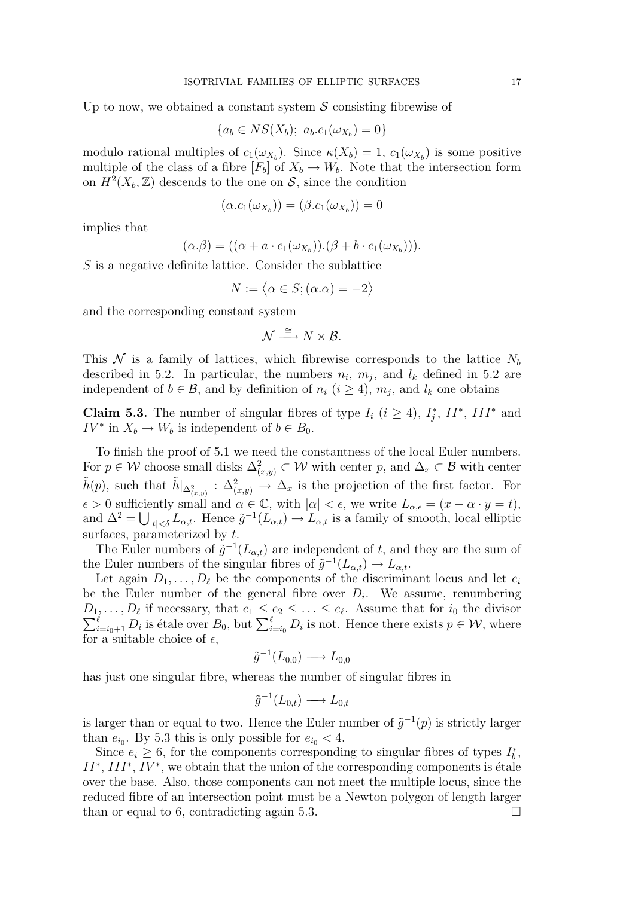Up to now, we obtained a constant system  $\mathcal S$  consisting fibrewise of

$$
\{a_b \in NS(X_b); \ a_b.c_1(\omega_{X_b}) = 0\}
$$

modulo rational multiples of  $c_1(\omega_{X_b})$ . Since  $\kappa(X_b) = 1$ ,  $c_1(\omega_{X_b})$  is some positive multiple of the class of a fibre  $[F_b]$  of  $X_b \to W_b$ . Note that the intersection form on  $H^2(X_b, \mathbb{Z})$  descends to the one on S, since the condition

$$
(\alpha.c_1(\omega_{X_b})) = (\beta.c_1(\omega_{X_b})) = 0
$$

implies that

$$
(\alpha.\beta) = ((\alpha + a \cdot c_1(\omega_{X_b})).(\beta + b \cdot c_1(\omega_{X_b}))).
$$

S is a negative definite lattice. Consider the sublattice

$$
N := \langle \alpha \in S; (\alpha \cdot \alpha) = -2 \rangle
$$

and the corresponding constant system

$$
\mathcal{N} \stackrel{\cong}{\longrightarrow} N \times \mathcal{B}.
$$

This  $\mathcal N$  is a family of lattices, which fibrewise corresponds to the lattice  $N_b$ described in 5.2. In particular, the numbers  $n_i$ ,  $m_j$ , and  $l_k$  defined in 5.2 are independent of  $b \in \mathcal{B}$ , and by definition of  $n_i$   $(i \geq 4)$ ,  $m_j$ , and  $l_k$  one obtains

**Claim 5.3.** The number of singular fibres of type  $I_i$  ( $i \geq 4$ ),  $I_j^*$ ,  $II^*$ ,  $III^*$  and  $IV^*$  in  $X_b \to W_b$  is independent of  $b \in B_0$ .

To finish the proof of 5.1 we need the constantness of the local Euler numbers. For  $p \in \mathcal{W}$  choose small disks  $\Delta^2_{(x,y)} \subset \mathcal{W}$  with center p, and  $\Delta_x \subset \mathcal{B}$  with center  $\tilde{h}(p)$ , such that  $\tilde{h}|_{\Delta^2_{(x,y)}} : \Delta^2_{(x,y)} \to \Delta_x$  is the projection of the first factor. For  $\epsilon > 0$  sufficiently small and  $\alpha \in \mathbb{C}$ , with  $|\alpha| < \epsilon$ , we write  $L_{\alpha,\epsilon} = (x - \alpha \cdot y = t)$ , and  $\Delta^2 = \bigcup_{|t| < \delta} L_{\alpha,t}$ . Hence  $\tilde{g}^{-1}(L_{\alpha,t}) \to L_{\alpha,t}$  is a family of smooth, local elliptic surfaces, parameterized by  $t$ .

The Euler numbers of  $\tilde{g}^{-1}(L_{\alpha,t})$  are independent of t, and they are the sum of the Euler numbers of the singular fibres of  $\tilde{g}^{-1}(L_{\alpha,t}) \to L_{\alpha,t}$ .

Let again  $D_1, \ldots, D_\ell$  be the components of the discriminant locus and let  $e_i$ be the Euler number of the general fibre over  $D_i$ . We assume, renumbering  $D_1, \ldots, D_\ell$  if necessary, that  $e_1 \leq e_2 \leq \ldots \leq e_\ell$  $\sum$  $D_{\ell}$  if necessary, that  $e_1 \leq e_2 \leq \ldots \leq e_{\ell}$ . Assume that for  $i_0$  the divisor  $\ell$ <br> $\ell = i_0+1$   $D_i$  is étale over  $B_0$ , but  $\sum_{i=i_0}^{\ell} D_i$  is not. Hence there exists  $p \in \mathcal{W}$ , where for a suitable choice of  $\epsilon$ ,

$$
\tilde{g}^{-1}(L_{0,0}) \longrightarrow L_{0,0}
$$

has just one singular fibre, whereas the number of singular fibres in

$$
\tilde{g}^{-1}(L_{0,t}) \longrightarrow L_{0,t}
$$

is larger than or equal to two. Hence the Euler number of  $\tilde{g}^{-1}(p)$  is strictly larger than  $e_{i_0}$ . By 5.3 this is only possible for  $e_{i_0} < 4$ .

Since  $e_i \geq 6$ , for the components corresponding to singular fibres of types  $I_b^*$ ,  $II^*, III^*, IV^*,$  we obtain that the union of the corresponding components is étale over the base. Also, those components can not meet the multiple locus, since the reduced fibre of an intersection point must be a Newton polygon of length larger than or equal to 6, contradicting again 5.3.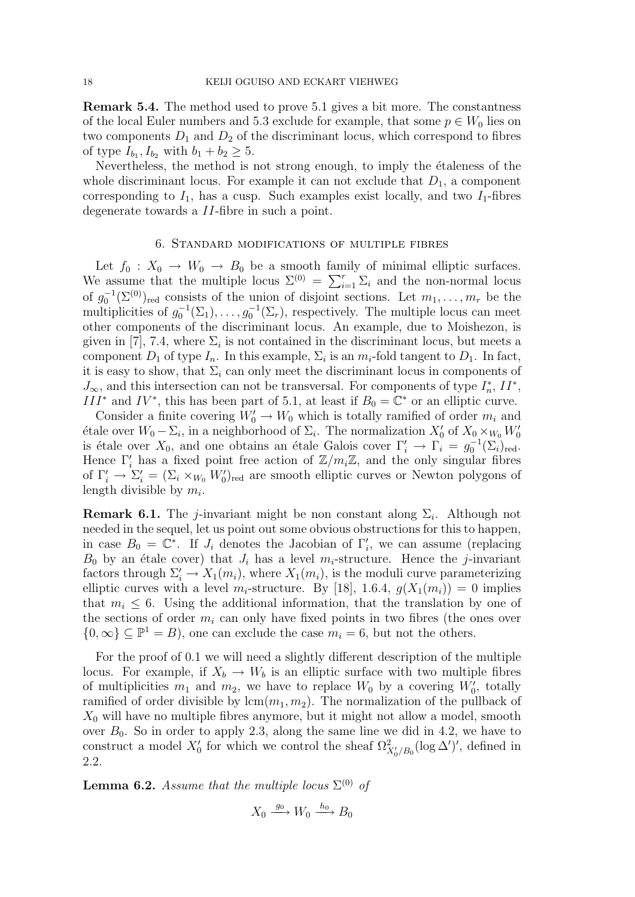Remark 5.4. The method used to prove 5.1 gives a bit more. The constantness of the local Euler numbers and 5.3 exclude for example, that some  $p \in W_0$  lies on two components  $D_1$  and  $D_2$  of the discriminant locus, which correspond to fibres of type  $I_{b_1}, I_{b_2}$  with  $b_1 + b_2 \ge 5$ .

Nevertheless, the method is not strong enough, to imply the étaleness of the whole discriminant locus. For example it can not exclude that  $D_1$ , a component corresponding to  $I_1$ , has a cusp. Such examples exist locally, and two  $I_1$ -fibres degenerate towards a II-fibre in such a point.

#### 6. Standard modifications of multiple fibres

Let  $f_0 : X_0 \to W_0 \to B_0$  be a smooth family of minimal elliptic surfaces. We assume that the multiple locus  $\Sigma^{(0)} = \sum_{i=1}^{r} \Sigma_i$  and the non-normal locus of  $g_0^{-1}(\Sigma^{(0)})_{\text{red}}$  consists of the union of disjoint sections. Let  $m_1, \ldots, m_r$  be the multiplicities of  $g_0^{-1}(\Sigma_1), \ldots, g_0^{-1}(\Sigma_r)$ , respectively. The multiple locus can meet other components of the discriminant locus. An example, due to Moishezon, is given in [7], 7.4, where  $\Sigma_i$  is not contained in the discriminant locus, but meets a component  $D_1$  of type  $I_n$ . In this example,  $\Sigma_i$  is an  $m_i$ -fold tangent to  $D_1$ . In fact, it is easy to show, that  $\Sigma_i$  can only meet the discriminant locus in components of  $J_{\infty}$ , and this intersection can not be transversal. For components of type  $I_n^*$ ,  $II^*$ , III<sup>\*</sup> and IV<sup>\*</sup>, this has been part of 5.1, at least if  $B_0 = \mathbb{C}^*$  or an elliptic curve.

Consider a finite covering  $W'_0 \to W_0$  which is totally ramified of order  $m_i$  and étale over  $W_0$  −  $\Sigma_i$ , in a neighborhood of  $\Sigma_i$ . The normalization  $X'_0$  of  $X_0 \times_{W_0} W'_0$ is étale over  $X_0$ , and one obtains an étale Galois cover  $\Gamma'_i \to \Gamma_i = g_0^{-1}(\Sigma_i)_{\text{red}}$ . Hence  $\Gamma_i'$  has a fixed point free action of  $\mathbb{Z}/m_i\mathbb{Z}$ , and the only singular fibres of  $\Gamma'_i \to \Sigma'_i = (\Sigma_i \times_{W_0} W'_0)_{\text{red}}$  are smooth elliptic curves or Newton polygons of length divisible by  $m_i$ .

**Remark 6.1.** The *j*-invariant might be non constant along  $\Sigma_i$ . Although not needed in the sequel, let us point out some obvious obstructions for this to happen, in case  $B_0 = \mathbb{C}^*$ . If  $J_i$  denotes the Jacobian of  $\Gamma'_i$ , we can assume (replacing  $B_0$  by an étale cover) that  $J_i$  has a level  $m_i$ -structure. Hence the j-invariant factors through  $\Sigma_i' \to X_1(m_i)$ , where  $X_1(m_i)$ , is the moduli curve parameterizing elliptic curves with a level  $m_i$ -structure. By [18], 1.6.4,  $g(X_1(m_i)) = 0$  implies that  $m_i \leq 6$ . Using the additional information, that the translation by one of the sections of order  $m_i$  can only have fixed points in two fibres (the ones over  $\{0,\infty\}\subseteq\mathbb{P}^1=B$ , one can exclude the case  $m_i=6$ , but not the others.

For the proof of 0.1 we will need a slightly different description of the multiple locus. For example, if  $X_b \to W_b$  is an elliptic surface with two multiple fibres of multiplicities  $m_1$  and  $m_2$ , we have to replace  $W_0$  by a covering  $W'_0$ , totally ramified of order divisible by  $lcm(m_1, m_2)$ . The normalization of the pullback of  $X_0$  will have no multiple fibres anymore, but it might not allow a model, smooth over  $B_0$ . So in order to apply 2.3, along the same line we did in 4.2, we have to construct a model  $X'_0$  for which we control the sheaf  $\Omega^2_{X'_0/B_0}(\log \Delta')'$ , defined in 2.2.

**Lemma 6.2.** Assume that the multiple locus  $\Sigma^{(0)}$  of

$$
X_0 \xrightarrow{g_0} W_0 \xrightarrow{h_0} B_0
$$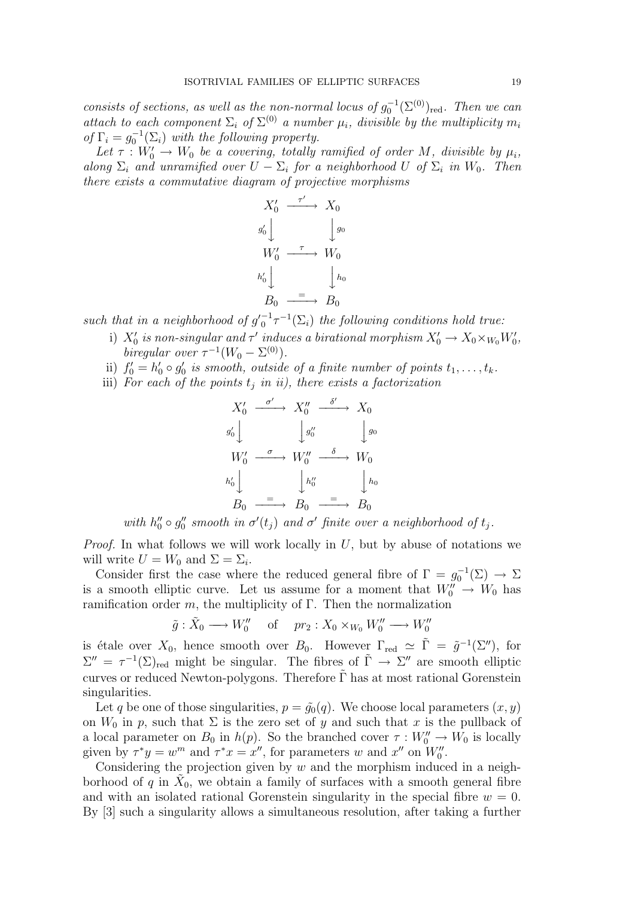consists of sections, as well as the non-normal locus of  $g_0^{-1}(\Sigma^{(0)})_{\text{red}}$ . Then we can attach to each component  $\Sigma_i$  of  $\Sigma^{(0)}$  a number  $\mu_i$ , divisible by the multiplicity  $m_i$ of  $\Gamma_i = g_0^{-1}(\Sigma_i)$  with the following property.

Let  $\tau: W_0' \to W_0$  be a covering, totally ramified of order M, divisible by  $\mu_i$ , along  $\Sigma_i$  and unramified over  $U - \Sigma_i$  for a neighborhood U of  $\Sigma_i$  in  $W_0$ . Then there exists a commutative diagram of projective morphisms



such that in a neighborhood of  $g'_0^{-1} \tau^{-1}(\Sigma_i)$  the following conditions hold true:

- i)  $X'_0$  is non-singular and  $\tau'$  induces a birational morphism  $X'_0 \to X_0 \times_{W_0} W'_0$ , biregular over  $\tau^{-1}(W_0 - \Sigma^{(0)})$ .
- ii)  $f_0' = h_0' \circ g_0'$  is smooth, outside of a finite number of points  $t_1, \ldots, t_k$ .
- iii) For each of the points  $t_i$  in ii), there exists a factorization

$$
X'_0 \xrightarrow{\sigma'} X''_0 \xrightarrow{\delta'} X_0
$$
  
\n
$$
y'_0 \downarrow \qquad \qquad y''_0 \qquad \qquad y_0
$$
  
\n
$$
W'_0 \xrightarrow{\sigma} W''_0 \xrightarrow{\delta} W_0
$$
  
\n
$$
h'_0 \downarrow \qquad \qquad h''_0 \qquad \qquad h_0
$$
  
\n
$$
B_0 \xrightarrow{\equiv} B_0 \xrightarrow{\equiv} B_0
$$

with  $h''_0 \circ g''_0$  smooth in  $\sigma'(t_j)$  and  $\sigma'$  finite over a neighborhood of  $t_j$ .

*Proof.* In what follows we will work locally in  $U$ , but by abuse of notations we will write  $U = W_0$  and  $\Sigma = \Sigma_i$ .

Consider first the case where the reduced general fibre of  $\Gamma = g_0^{-1}(\Sigma) \to \Sigma$ is a smooth elliptic curve. Let us assume for a moment that  $W_0'' \to W_0$  has ramification order m, the multiplicity of  $\Gamma$ . Then the normalization

 $\tilde{g}: \tilde{X}_0 \longrightarrow W''_0 \quad \text{ of } \quad pr_2: X_0 \times_{W_0} W''_0 \longrightarrow W''_0$ 

is étale over  $X_0$ , hence smooth over  $B_0$ . However  $\Gamma_{\text{red}} \simeq \tilde{\Gamma} = \tilde{g}^{-1}(\Sigma'')$ , for  $\Sigma'' = \tau^{-1}(\Sigma)_{\text{red}}$  might be singular. The fibres of  $\tilde{\Gamma} \to \Sigma''$  are smooth elliptic curves or reduced Newton-polygons. Therefore  $\tilde{\Gamma}$  has at most rational Gorenstein singularities.

Let q be one of those singularities,  $p = \tilde{g}_0(q)$ . We choose local parameters  $(x, y)$ on  $W_0$  in p, such that  $\Sigma$  is the zero set of y and such that x is the pullback of a local parameter on  $B_0$  in  $h(p)$ . So the branched cover  $\tau : W''_0 \to W_0$  is locally given by  $\tau^* y = w^m$  and  $\tau^* x = x''$ , for parameters w and  $x''$  on  $W_0''$ .

Considering the projection given by  $w$  and the morphism induced in a neighborhood of q in  $\tilde{X}_0$ , we obtain a family of surfaces with a smooth general fibre and with an isolated rational Gorenstein singularity in the special fibre  $w = 0$ . By [3] such a singularity allows a simultaneous resolution, after taking a further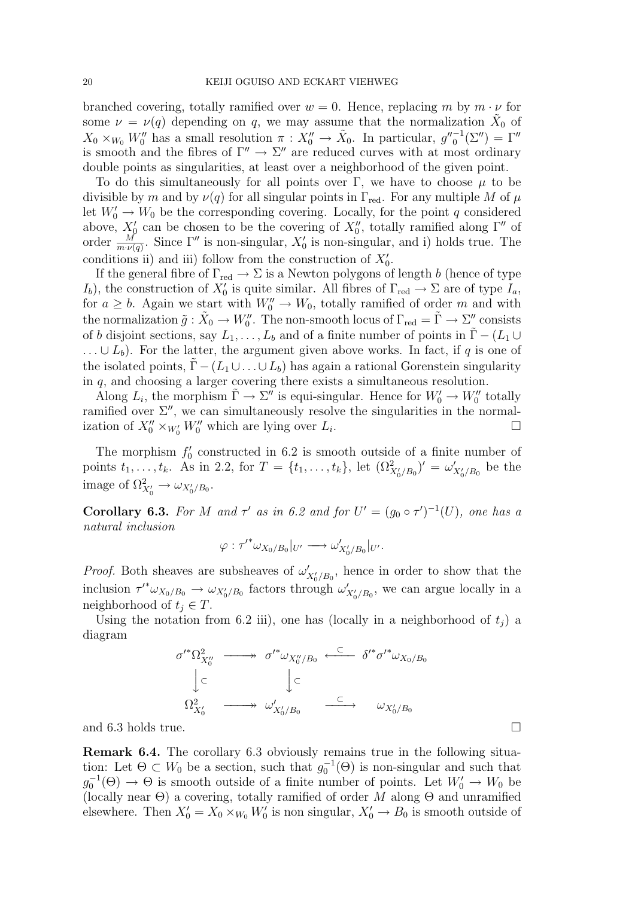branched covering, totally ramified over  $w = 0$ . Hence, replacing m by  $m \cdot \nu$  for some  $\nu = \nu(q)$  depending on q, we may assume that the normalization  $\tilde{X}_0$  of  $X_0 \times_{W_0} W_0''$  has a small resolution  $\pi : X_0'' \to \tilde{X}_0$ . In particular,  $g''_0^{-1}(\Sigma'') = \Gamma''$ is smooth and the fibres of  $\Gamma'' \to \Sigma''$  are reduced curves with at most ordinary double points as singularities, at least over a neighborhood of the given point.

To do this simultaneously for all points over Γ, we have to choose  $\mu$  to be divisible by m and by  $\nu(q)$  for all singular points in  $\Gamma_{\text{red}}$ . For any multiple M of  $\mu$ let  $W'_0 \to W_0$  be the corresponding covering. Locally, for the point q considered above,  $X'_{0}$  can be chosen to be the covering of  $X''_{0}$ , totally ramified along  $\Gamma''$  of order  $\frac{M}{m \cdot \nu(q)}$ . Since  $\Gamma''$  is non-singular,  $X'_0$  is non-singular, and i) holds true. The conditions ii) and iii) follow from the construction of  $X'_0$ .

If the general fibre of  $\Gamma_{\text{red}} \to \Sigma$  is a Newton polygons of length b (hence of type  $I_b$ , the construction of  $X'_0$  is quite similar. All fibres of  $\Gamma_{\text{red}} \to \Sigma$  are of type  $I_a$ , for  $a \geq b$ . Again we start with  $W_0'' \to W_0$ , totally ramified of order m and with the normalization  $\tilde{g}: \tilde{X}_0 \to W''_0$ . The non-smooth locus of  $\Gamma_{\text{red}} = \tilde{\Gamma} \to \Sigma''$  consists of b disjoint sections, say  $L_1, \ldots, L_b$  and of a finite number of points in  $\tilde{\Gamma} - (L_1 \cup$  $\ldots \cup L_b$ ). For the latter, the argument given above works. In fact, if q is one of the isolated points,  $\Gamma$  –  $(L_1 \cup ... \cup L_b)$  has again a rational Gorenstein singularity in q, and choosing a larger covering there exists a simultaneous resolution.

Along  $L_i$ , the morphism  $\tilde{\Gamma} \to \Sigma''$  is equi-singular. Hence for  $W_0' \to W_0''$  totally ramified over  $\Sigma''$ , we can simultaneously resolve the singularities in the normalization of  $X_0'' \times_{W_0'} W_0''$  which are lying over  $L_i$ .

The morphism  $f_0'$  constructed in 6.2 is smooth outside of a finite number of points  $t_1, \ldots, t_k$ . As in 2.2, for  $T = \{t_1, \ldots, t_k\}$ , let  $(\Omega^2_{X'_0/B_0})' = \omega'_{X'_0/B_0}$  be the image of  $\Omega^2_{X'_0} \to \omega_{X'_0/B_0}$ .

**Corollary 6.3.** For M and  $\tau'$  as in 6.2 and for  $U' = (g_0 \circ \tau')^{-1}(U)$ , one has a natural inclusion

$$
\varphi: \tau'^* \omega_{X_0/B_0}|_{U'} \longrightarrow \omega'_{X'_0/B_0}|_{U'}.
$$

*Proof.* Both sheaves are subsheaves of  $\omega'_{X_0'/B_0}$ , hence in order to show that the inclusion  $\tau'^* \omega_{X_0/B_0} \to \omega_{X'_0/B_0}$  factors through  $\omega'_{X'_0/B_0}$ , we can argue locally in a neighborhood of  $t_i \in T$ .

Using the notation from 6.2 iii), one has (locally in a neighborhood of  $t_i$ ) a diagram

$$
\sigma'^* \Omega^2_{X_0''} \longrightarrow \sigma'^* \omega_{X_0''/B_0} \stackrel{\subset}{\longleftarrow} \delta'^* \sigma'^* \omega_{X_0/B_0}
$$
  

$$
\downarrow \subset \qquad \qquad \downarrow \subset
$$
  

$$
\Omega^2_{X_0'} \longrightarrow \omega'_{X_0'/B_0} \longrightarrow \omega_{X_0'/B_0}
$$

and 6.3 holds true.  $\Box$ 

Remark 6.4. The corollary 6.3 obviously remains true in the following situation: Let  $\Theta \subset W_0$  be a section, such that  $g_0^{-1}(\Theta)$  is non-singular and such that  $g_0^{-1}(\Theta) \to \Theta$  is smooth outside of a finite number of points. Let  $W'_0 \to W_0$  be (locally near  $\Theta$ ) a covering, totally ramified of order M along  $\Theta$  and unramified elsewhere. Then  $X'_0 = X_0 \times_{W_0} W'_0$  is non singular,  $X'_0 \to B_0$  is smooth outside of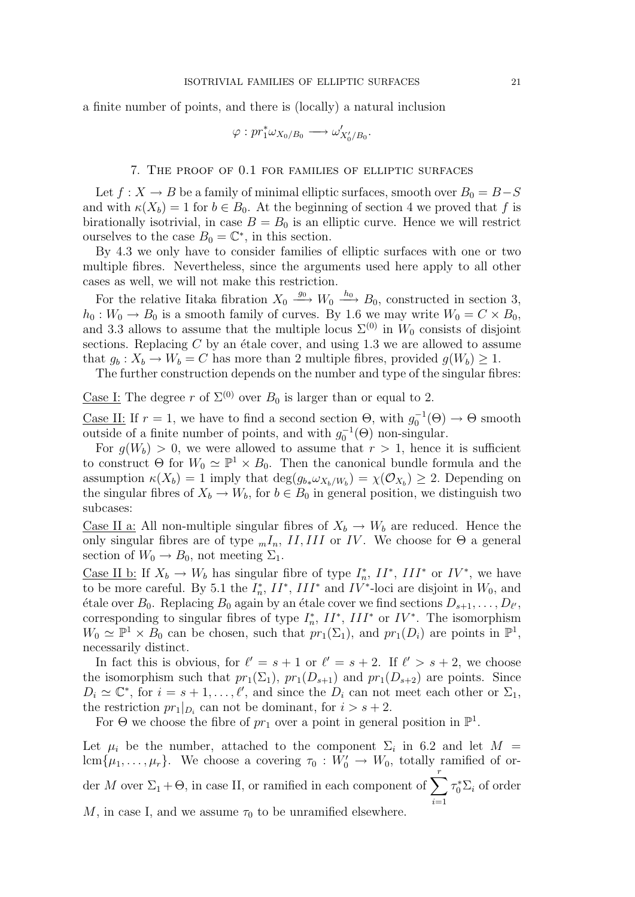a finite number of points, and there is (locally) a natural inclusion

$$
\varphi: pr_1^* \omega_{X_0/B_0} \longrightarrow \omega'_{X'_0/B_0}.
$$

#### 7. The proof of 0.1 for families of elliptic surfaces

Let  $f: X \to B$  be a family of minimal elliptic surfaces, smooth over  $B_0 = B-S$ and with  $\kappa(X_b) = 1$  for  $b \in B_0$ . At the beginning of section 4 we proved that f is birationally isotrivial, in case  $B = B_0$  is an elliptic curve. Hence we will restrict ourselves to the case  $B_0 = \mathbb{C}^*$ , in this section.

By 4.3 we only have to consider families of elliptic surfaces with one or two multiple fibres. Nevertheless, since the arguments used here apply to all other cases as well, we will not make this restriction.

For the relative Iitaka fibration  $X_0 \stackrel{g_0}{\longrightarrow} W_0 \stackrel{h_0}{\longrightarrow} B_0$ , constructed in section 3,  $h_0: W_0 \to B_0$  is a smooth family of curves. By 1.6 we may write  $W_0 = C \times B_0$ , and 3.3 allows to assume that the multiple locus  $\Sigma^{(0)}$  in  $W_0$  consists of disjoint sections. Replacing  $C$  by an étale cover, and using 1.3 we are allowed to assume that  $g_b: X_b \to W_b = C$  has more than 2 multiple fibres, provided  $g(W_b) \geq 1$ .

The further construction depends on the number and type of the singular fibres:

Case I: The degree r of  $\Sigma^{(0)}$  over  $B_0$  is larger than or equal to 2.

<u>Case II:</u> If  $r = 1$ , we have to find a second section  $\Theta$ , with  $g_0^{-1}(\Theta) \to \Theta$  smooth outside of a finite number of points, and with  $g_0^{-1}(\Theta)$  non-singular.

For  $g(W_b) > 0$ , we were allowed to assume that  $r > 1$ , hence it is sufficient to construct  $\Theta$  for  $W_0 \simeq \mathbb{P}^1 \times B_0$ . Then the canonical bundle formula and the assumption  $\kappa(X_b) = 1$  imply that  $\deg(g_{b*}\omega_{X_b/W_b}) = \chi(\mathcal{O}_{X_b}) \geq 2$ . Depending on the singular fibres of  $X_b \to W_b$ , for  $b \in B_0$  in general position, we distinguish two subcases:

<u>Case II a:</u> All non-multiple singular fibres of  $X_b \to W_b$  are reduced. Hence the only singular fibres are of type  $_mI_n$ , II, III or IV. We choose for  $\Theta$  a general section of  $W_0 \to B_0$ , not meeting  $\Sigma_1$ .

<u>Case II b:</u> If  $X_b \to W_b$  has singular fibre of type  $I_n^*$ ,  $II^*$ ,  $III^*$  or  $IV^*$ , we have to be more careful. By 5.1 the  $I_n^*$ ,  $II^*$ ,  $III^*$  and  $IV^*$ -loci are disjoint in  $W_0$ , and étale over  $B_0$ . Replacing  $B_0$  again by an étale cover we find sections  $D_{s+1}, \ldots, D_{\ell'},$ corresponding to singular fibres of type  $I_n^*$ ,  $II^*$ ,  $III^*$  or  $IV^*$ . The isomorphism  $W_0 \simeq \mathbb{P}^1 \times \overline{B_0}$  can be chosen, such that  $pr_1(\Sigma_1)$ , and  $pr_1(D_i)$  are points in  $\mathbb{P}^1$ , necessarily distinct.

In fact this is obvious, for  $\ell' = s + 1$  or  $\ell' = s + 2$ . If  $\ell' > s + 2$ , we choose the isomorphism such that  $pr_1(\Sigma_1)$ ,  $pr_1(D_{s+1})$  and  $pr_1(D_{s+2})$  are points. Since  $D_i \simeq \mathbb{C}^*$ , for  $i = s + 1, \ldots, \ell'$ , and since the  $D_i$  can not meet each other or  $\Sigma_1$ , the restriction  $pr_1|_{D_i}$  can not be dominant, for  $i > s + 2$ .

For  $\Theta$  we choose the fibre of  $pr_1$  over a point in general position in  $\mathbb{P}^1$ .

Let  $\mu_i$  be the number, attached to the component  $\Sigma_i$  in 6.2 and let  $M =$ lcm $\{\mu_1, \ldots, \mu_r\}$ . We choose a covering  $\tau_0 : W'_0 \to W_0$ , totally ramified of order M over  $\Sigma_1 + \Theta$ , in case II, or ramified in each component of  $\sum_{i=1}^{r} \tau_i^* \Sigma_i$  of order  $i=1$ M, in case I, and we assume  $\tau_0$  to be unramified elsewhere.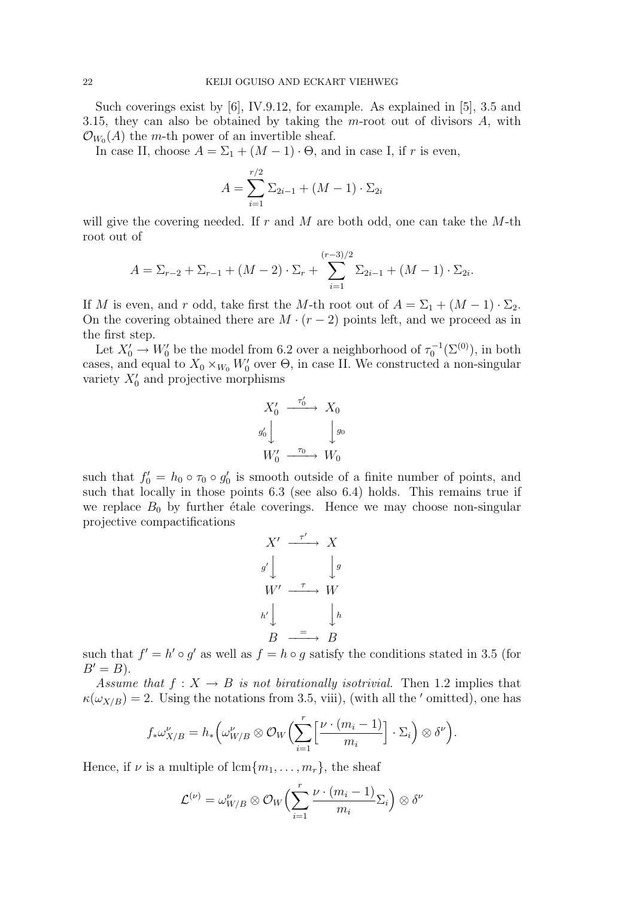Such coverings exist by [6], IV.9.12, for example. As explained in [5], 3.5 and 3.15, they can also be obtained by taking the m-root out of divisors  $A$ , with  $\mathcal{O}_{W_0}(A)$  the m-th power of an invertible sheaf.

In case II, choose  $A = \Sigma_1 + (M - 1) \cdot \Theta$ , and in case I, if r is even,

$$
A = \sum_{i=1}^{r/2} \Sigma_{2i-1} + (M - 1) \cdot \Sigma_{2i}
$$

will give the covering needed. If r and M are both odd, one can take the  $M$ -th root out of

$$
A = \Sigma_{r-2} + \Sigma_{r-1} + (M-2) \cdot \Sigma_r + \sum_{i=1}^{(r-3)/2} \Sigma_{2i-1} + (M-1) \cdot \Sigma_{2i}.
$$

If M is even, and r odd, take first the M-th root out of  $A = \Sigma_1 + (M - 1) \cdot \Sigma_2$ . On the covering obtained there are  $M \cdot (r-2)$  points left, and we proceed as in the first step.

Let  $X'_0 \to W'_0$  be the model from 6.2 over a neighborhood of  $\tau_0^{-1}(\Sigma^{(0)})$ , in both cases, and equal to  $X_0 \times_{W_0} W'_0$  over  $\Theta$ , in case II. We constructed a non-singular variety  $X'_0$  and projective morphisms

$$
X'_0 \xrightarrow{\tau'_0} X_0
$$
  
\n
$$
g'_0 \downarrow \qquad \qquad g_0
$$
  
\n
$$
W'_0 \xrightarrow{\tau_0} W_0
$$

such that  $f_0' = h_0 \circ \tau_0 \circ g_0'$  is smooth outside of a finite number of points, and such that locally in those points 6.3 (see also 6.4) holds. This remains true if we replace  $B_0$  by further étale coverings. Hence we may choose non-singular projective compactifications

$$
X' \xrightarrow{\tau'} X
$$
  
\n
$$
g' \downarrow \qquad \qquad \downarrow g
$$
  
\n
$$
W' \xrightarrow{\tau} W
$$
  
\n
$$
h' \downarrow \qquad \qquad \downarrow h
$$
  
\n
$$
B \xrightarrow{\tau} B
$$

such that  $f' = h' \circ g'$  as well as  $f = h \circ g$  satisfy the conditions stated in 3.5 (for  $B'=B$ ).

Assume that  $f: X \to B$  is not birationally isotrivial. Then 1.2 implies that  $\kappa(\omega_{X/B}) = 2$ . Using the notations from 3.5, viii), (with all the ' omitted), one has

$$
f_*\omega_{X/B}^{\nu} = h_*\left(\omega_{W/B}^{\nu} \otimes \mathcal{O}_W\left(\sum_{i=1}^r \left[\frac{\nu \cdot (m_i-1)}{m_i}\right] \cdot \Sigma_i\right) \otimes \delta^{\nu}\right).
$$

Hence, if  $\nu$  is a multiple of lcm $\{m_1, \ldots, m_r\}$ , the sheaf

$$
\mathcal{L}^{(\nu)} = \omega_{W/B}^{\nu} \otimes \mathcal{O}_W \Biggl( \sum_{i=1}^r \frac{\nu \cdot (m_i - 1)}{m_i} \Sigma_i \Biggr) \otimes \delta^{\nu}
$$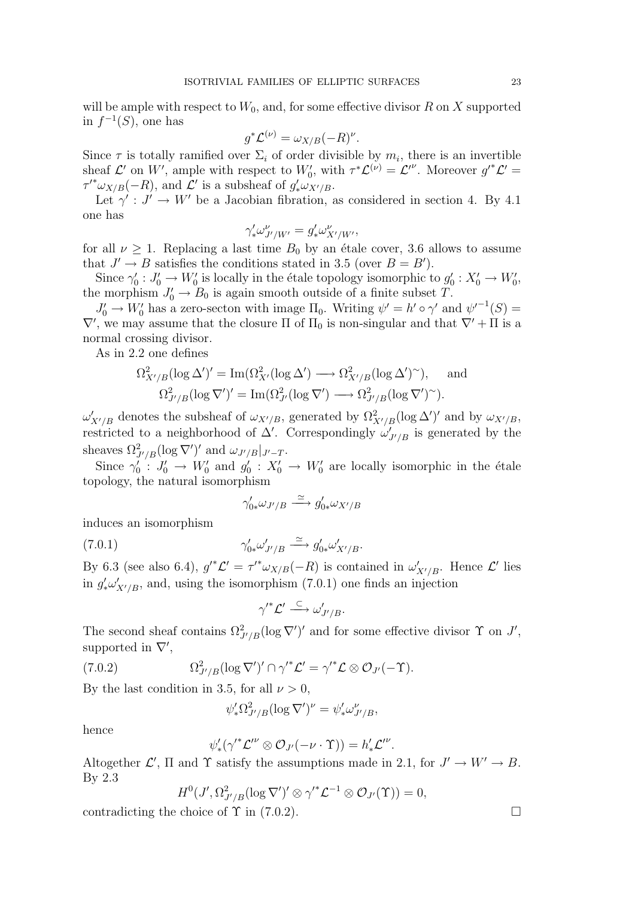will be ample with respect to  $W_0$ , and, for some effective divisor R on X supported in  $f^{-1}(S)$ , one has

$$
g^*\mathcal{L}^{(\nu)} = \omega_{X/B}(-R)^{\nu}.
$$

Since  $\tau$  is totally ramified over  $\Sigma_i$  of order divisible by  $m_i$ , there is an invertible sheaf  $\mathcal{L}'$  on W', ample with respect to  $W'_0$ , with  $\tau^*\mathcal{L}^{(\nu)} = \mathcal{L}^{\prime\nu}$ . Moreover  $g'^*\mathcal{L}' =$  $\tau'^* \omega_{X/B}(-R)$ , and  $\mathcal{L}'$  is a subsheaf of  $g'_* \omega_{X'/B}$ .

Let  $\gamma': J' \to W'$  be a Jacobian fibration, as considered in section 4. By 4.1 one has

$$
\gamma'_{*}\omega^{\nu}_{J'/W'}=g'_{*}\omega^{\nu}_{X'/W'},
$$

for all  $\nu \geq 1$ . Replacing a last time  $B_0$  by an étale cover, 3.6 allows to assume that  $J' \rightarrow B$  satisfies the conditions stated in 3.5 (over  $B = B'$ ).

Since  $\gamma'_0: J'_0 \to W'_0$  is locally in the étale topology isomorphic to  $g'_0: X'_0 \to W'_0$ , the morphism  $J'_0 \to B_0$  is again smooth outside of a finite subset T.

 $J'_0 \to W'_0$  has a zero-secton with image  $\Pi_0$ . Writing  $\psi' = h' \circ \gamma'$  and  ${\psi'}^{-1}(S) =$  $\nabla'$ , we may assume that the closure  $\Pi$  of  $\Pi_0$  is non-singular and that  $\nabla' + \Pi$  is a normal crossing divisor.

As in 2.2 one defines

$$
\Omega^2_{X'/B}(\log \Delta')' = \operatorname{Im}(\Omega^2_{X'}(\log \Delta') \longrightarrow \Omega^2_{X'/B}(\log \Delta')^{\sim}), \text{ and}
$$
  

$$
\Omega^2_{J'/B}(\log \nabla')' = \operatorname{Im}(\Omega^2_{J'}(\log \nabla') \longrightarrow \Omega^2_{J'/B}(\log \nabla')^{\sim}).
$$

 $\omega'_{X'/B}$  denotes the subsheaf of  $\omega_{X'/B}$ , generated by  $\Omega^2_{X'/B}(\log \Delta')'$  and by  $\omega_{X'/B}$ , restricted to a neighborhood of  $\Delta'$ . Correspondingly  $\omega'_{J'/B}$  is generated by the sheaves  $\Omega^2_{J'/B} (\log \nabla')'$  and  $\omega_{J'/B}|_{J'-T}$ .

Since  $\gamma_0' : J_0' \to W_0'$  and  $g_0' : X_0' \to W_0'$  are locally isomorphic in the étale topology, the natural isomorphism

$$
\gamma'_{0*}\omega_{J'/B} \xrightarrow{\simeq} g'_{0*}\omega_{X'/B}
$$

induces an isomorphism

$$
\gamma'_{0*}\omega'_{J'/B} \xrightarrow{\simeq} g'_{0*}\omega'_{X'/B}.
$$

By 6.3 (see also 6.4),  $g'^*\mathcal{L}' = \tau'^*\omega_{X/B}(-R)$  is contained in  $\omega'_{X'/B}$ . Hence  $\mathcal{L}'$  lies in  $g'_*\omega'_{X'/B}$ , and, using the isomorphism (7.0.1) one finds an injection

$$
\gamma'^* \mathcal{L}' \stackrel{\subset}{\longrightarrow} \omega'_{J'/B}.
$$

The second sheaf contains  $\Omega^2_{J'/B}(\log \nabla')'$  and for some effective divisor  $\Upsilon$  on  $J'$ , supported in  $\nabla'$ ,

(7.0.2) 
$$
\Omega_{J'/B}^2(\log \nabla')' \cap \gamma'^* \mathcal{L}' = \gamma'^* \mathcal{L} \otimes \mathcal{O}_{J'}(-\Upsilon).
$$

By the last condition in 3.5, for all  $\nu > 0$ ,

$$
\psi'_* \Omega^2_{J'/B} (\log \nabla')^\nu = \psi'_* \omega^\nu_{J'/B},
$$

hence

$$
\psi'_* (\gamma'^* \mathcal{L'}^{\nu} \otimes \mathcal{O}_{J'}(-\nu \cdot \Upsilon)) = h'_* \mathcal{L'}^{\nu}.
$$

Altogether  $\mathcal{L}'$ ,  $\Pi$  and  $\Upsilon$  satisfy the assumptions made in 2.1, for  $J' \to W' \to B$ . By 2.3

$$
H^0(J',\Omega^2_{J'/B}(\log \nabla')'\otimes {\gamma'}^*{\mathcal L}^{-1}\otimes {\mathcal O}_{J'}(\Upsilon))=0,
$$

contradicting the choice of  $\Upsilon$  in (7.0.2).